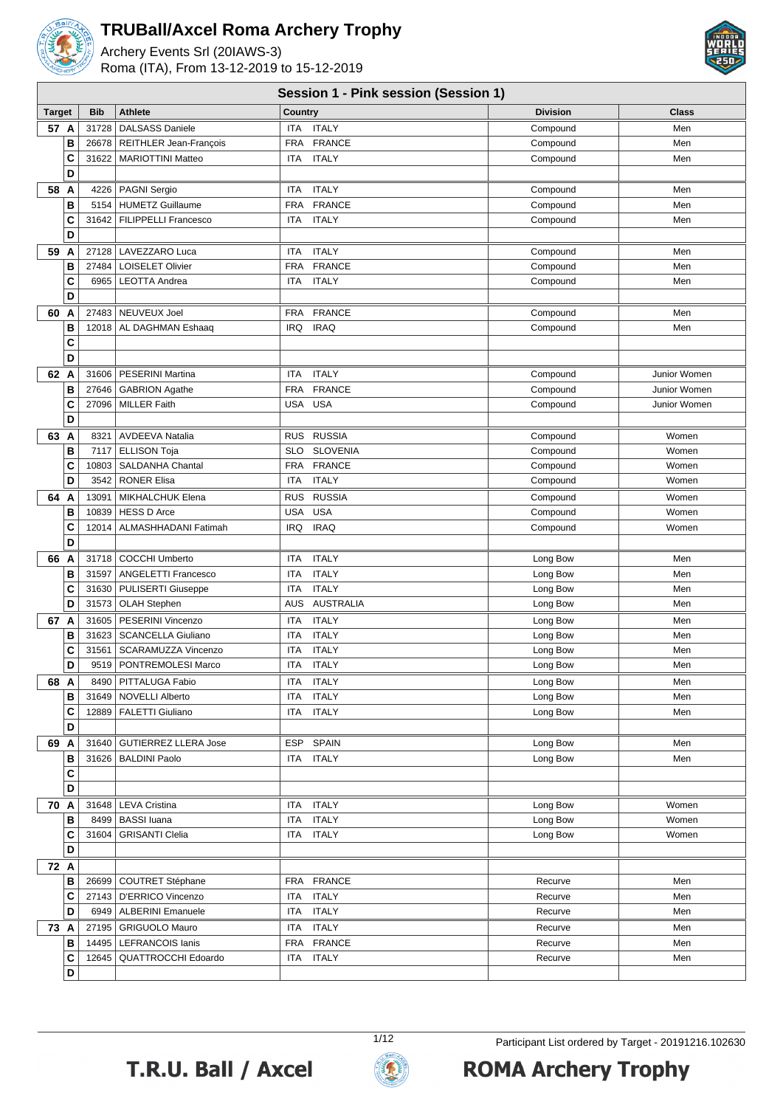

Archery Events Srl (20IAWS-3) Roma (ITA), From 13-12-2019 to 15-12-2019



#### **Session 1 - Pink session (Session 1)**

|               |            |                                |                               | -- - 1          |              |
|---------------|------------|--------------------------------|-------------------------------|-----------------|--------------|
| <b>Target</b> | <b>Bib</b> | <b>Athlete</b>                 | Country                       | <b>Division</b> | <b>Class</b> |
| 57 A          | 31728      | <b>DALSASS Daniele</b>         | <b>ITALY</b><br><b>ITA</b>    | Compound        | Men          |
| B             |            | 26678   REITHLER Jean-François | <b>FRANCE</b><br><b>FRA</b>   | Compound        | Men          |
| C             |            | 31622   MARIOTTINI Matteo      | <b>ITALY</b><br><b>ITA</b>    | Compound        | Men          |
| D             |            |                                |                               |                 |              |
| 58 A          |            | 4226   PAGNI Sergio            | <b>ITALY</b><br>ITA           | Compound        | Men          |
| B             | 5154       | <b>HUMETZ Guillaume</b>        | <b>FRA</b><br><b>FRANCE</b>   | Compound        | Men          |
| C             |            | 31642   FILIPPELLI Francesco   | <b>ITALY</b><br><b>ITA</b>    | Compound        | Men          |
| D             |            |                                |                               |                 |              |
| 59 A          |            | 27128   LAVEZZARO Luca         | <b>ITALY</b><br>ITA           | Compound        | Men          |
| B             | 27484      | <b>LOISELET Olivier</b>        | <b>FRANCE</b><br><b>FRA</b>   | Compound        | Men          |
| C             |            | 6965   LEOTTA Andrea           | <b>ITALY</b><br><b>ITA</b>    | Compound        | Men          |
| D             |            |                                |                               |                 |              |
| 60<br>A       |            | 27483 NEUVEUX Joel             | <b>FRANCE</b><br>FRA          | Compound        | Men          |
| B             |            |                                | <b>IRAQ</b>                   |                 | Men          |
|               |            | 12018   AL DAGHMAN Eshaaq      | IRQ                           | Compound        |              |
| C<br>D        |            |                                |                               |                 |              |
|               |            |                                |                               |                 |              |
| 62 A          |            | 31606   PESERINI Martina       | <b>ITALY</b><br><b>ITA</b>    | Compound        | Junior Women |
| В             |            | 27646 GABRION Agathe           | <b>FRANCE</b><br><b>FRA</b>   | Compound        | Junior Women |
| C             |            | 27096   MILLER Faith           | <b>USA</b><br>USA             | Compound        | Junior Women |
| D             |            |                                |                               |                 |              |
| 63 A          |            | 8321   AVDEEVA Natalia         | <b>RUSSIA</b><br><b>RUS</b>   | Compound        | Women        |
| B             |            | 7117   ELLISON Toja            | <b>SLO</b><br><b>SLOVENIA</b> | Compound        | Women        |
| C             | 10803      | <b>SALDANHA Chantal</b>        | <b>FRA</b><br><b>FRANCE</b>   | Compound        | Women        |
| D             | 3542       | <b>RONER Elisa</b>             | <b>ITALY</b><br>ITA           | Compound        | Women        |
| 64<br>A       | 13091      | MIKHALCHUK Elena               | <b>RUSSIA</b><br><b>RUS</b>   | Compound        | Women        |
| B             | 10839      | HESS D Arce                    | <b>USA</b><br><b>USA</b>      | Compound        | Women        |
| C             | 12014      | ALMASHHADANI Fatimah           | <b>IRAQ</b><br><b>IRQ</b>     | Compound        | Women        |
| D             |            |                                |                               |                 |              |
| 66 A          |            | 31718   COCCHI Umberto         | <b>ITALY</b><br>ITA           | Long Bow        | Men          |
| B             | 31597      | <b>ANGELETTI Francesco</b>     | <b>ITA</b><br><b>ITALY</b>    | Long Bow        | Men          |
| C             |            | 31630   PULISERTI Giuseppe     | <b>ITALY</b><br>ITA           | Long Bow        | Men          |
| D             |            | 31573   OLAH Stephen           | AUSTRALIA<br>AUS              | Long Bow        | Men          |
| 67 A          | 31605      | PESERINI Vincenzo              | <b>ITALY</b><br>ITA           | Long Bow        | Men          |
| B             |            | 31623   SCANCELLA Giuliano     | <b>ITALY</b><br>ITA           | Long Bow        | Men          |
| C             | 31561      | SCARAMUZZA Vincenzo            | <b>ITALY</b><br>ITA           | Long Bow        | Men          |
| D             |            | 9519   PONTREMOLESI Marco      | <b>ITALY</b><br>ITA           | Long Bow        | Men          |
| 68 A          |            | 8490   PITTALUGA Fabio         | <b>ITALY</b><br>ITA           | Long Bow        | Men          |
| в             |            | 31649 NOVELLI Alberto          | ITA ITALY                     | Long Bow        | Men          |
| C             |            | 12889   FALETTI Giuliano       | ITA ITALY                     |                 | Men          |
| D             |            |                                |                               | Long Bow        |              |
|               |            |                                |                               |                 |              |
| 69 A          |            | 31640   GUTIERREZ LLERA Jose   | ESP SPAIN                     | Long Bow        | Men          |
| В             |            | 31626   BALDINI Paolo          | <b>ITALY</b><br>ITA           | Long Bow        | Men          |
| C<br>D        |            |                                |                               |                 |              |
|               |            |                                |                               |                 |              |
| 70 A          |            | 31648   LEVA Cristina          | ITA ITALY                     | Long Bow        | Women        |
| В             |            | 8499 BASSI luana               | ITA ITALY                     | Long Bow        | Women        |
| C             |            | 31604 GRISANTI Clelia          | ITA ITALY                     | Long Bow        | Women        |
| D             |            |                                |                               |                 |              |
| 72 A          |            |                                |                               |                 |              |
| B             |            | 26699   COUTRET Stéphane       | FRA FRANCE                    | Recurve         | Men          |
| C             |            | 27143   D'ERRICO Vincenzo      | <b>ITALY</b><br>ITA           | Recurve         | Men          |
| D             |            | 6949   ALBERINI Emanuele       | ITA ITALY                     | Recurve         | Men          |
| 73 A          |            | 27195   GRIGUOLO Mauro         | <b>ITALY</b><br>ITA           | Recurve         | Men          |
| В             |            | 14495   LEFRANCOIS Ianis       | FRA FRANCE                    | Recurve         | Men          |
| C             | 12645      | <b>QUATTROCCHI Edoardo</b>     | ITA ITALY                     | Recurve         | Men          |
| D             |            |                                |                               |                 |              |



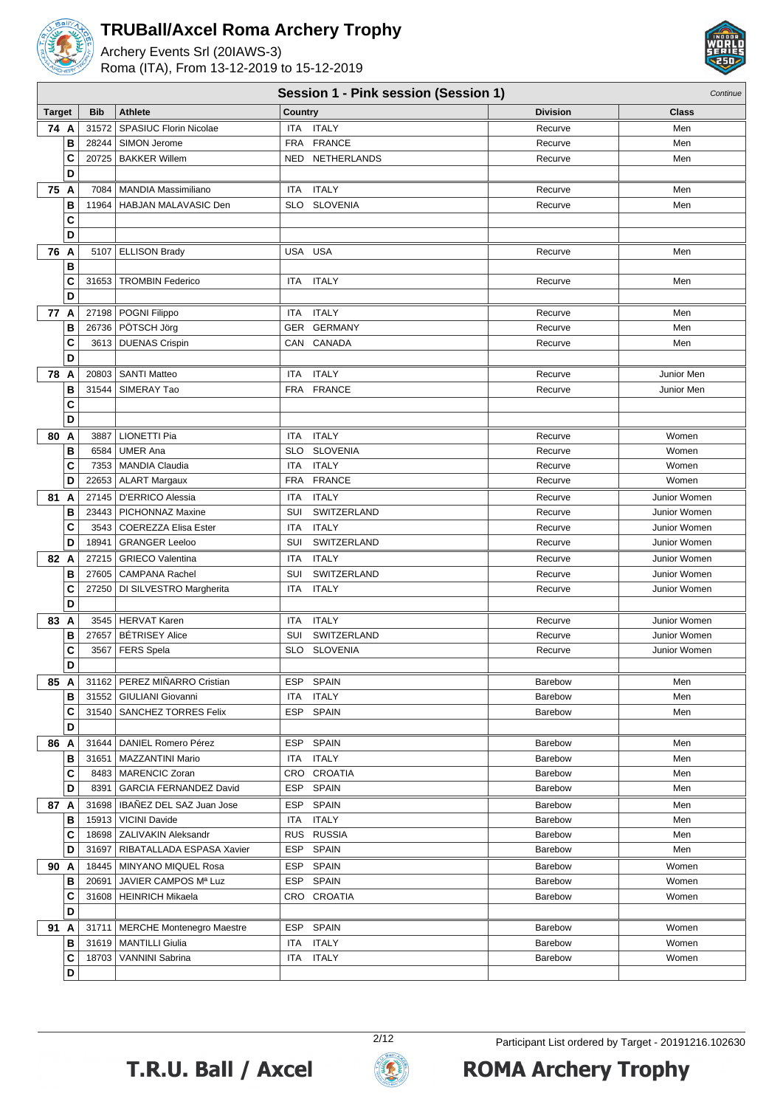

Archery Events Srl (20IAWS-3) Roma (ITA), From 13-12-2019 to 15-12-2019



|               | Session 1 - Pink session (Session 1) |            |                                                              |            |                        |                    | Continue       |
|---------------|--------------------------------------|------------|--------------------------------------------------------------|------------|------------------------|--------------------|----------------|
| <b>Target</b> |                                      | <b>Bib</b> | <b>Athlete</b>                                               | Country    |                        | <b>Division</b>    | <b>Class</b>   |
| 74 A          |                                      | 31572      | SPASIUC Florin Nicolae                                       | ITA        | <b>ITALY</b>           | Recurve            | Men            |
|               | B                                    |            | 28244   SIMON Jerome                                         | <b>FRA</b> | <b>FRANCE</b>          | Recurve            | Men            |
|               | C                                    |            | 20725   BAKKER Willem                                        | <b>NED</b> | NETHERLANDS            | Recurve            | Men            |
|               | D                                    |            |                                                              |            |                        |                    |                |
| 75 A          |                                      |            | 7084   MANDIA Massimiliano                                   | ITA        | <b>ITALY</b>           | Recurve            | Men            |
|               | в                                    | 11964      | HABJAN MALAVASIC Den                                         | <b>SLO</b> | <b>SLOVENIA</b>        | Recurve            | Men            |
|               | C                                    |            |                                                              |            |                        |                    |                |
|               | D                                    |            |                                                              |            |                        |                    |                |
| 76 A          |                                      |            | 5107 ELLISON Brady                                           |            | USA USA                | Recurve            | Men            |
|               | В                                    |            |                                                              |            |                        |                    |                |
|               | C                                    | 31653      | <b>TROMBIN Federico</b>                                      | ITA        | <b>ITALY</b>           | Recurve            | Men            |
|               | D                                    |            |                                                              |            |                        |                    |                |
| 77 A          |                                      |            | 27198   POGNI Filippo                                        | ITA        | <b>ITALY</b>           | Recurve            | Men            |
|               | В                                    |            | 26736   PÖTSCH Jörg                                          | <b>GER</b> | <b>GERMANY</b>         | Recurve            | Men            |
|               | C                                    |            | 3613   DUENAS Crispin                                        |            | CAN CANADA             | Recurve            | Men            |
|               | D                                    |            |                                                              |            |                        |                    |                |
| 78 A          |                                      |            | 20803   SANTI Matteo                                         | ITA        | <b>ITALY</b>           | Recurve            | Junior Men     |
|               | В                                    |            | 31544   SIMERAY Tao                                          | <b>FRA</b> | <b>FRANCE</b>          | Recurve            | Junior Men     |
|               | C                                    |            |                                                              |            |                        |                    |                |
|               | D                                    |            |                                                              |            |                        |                    |                |
| 80 A          |                                      | 3887       | <b>LIONETTI Pia</b>                                          | ITA        | <b>ITALY</b>           | Recurve            | Women          |
|               | B                                    | 6584       | <b>UMER Ana</b>                                              | <b>SLO</b> | <b>SLOVENIA</b>        | Recurve            | Women          |
|               | C                                    |            | 7353   MANDIA Claudia                                        | <b>ITA</b> | <b>ITALY</b>           | Recurve            | Women          |
|               | D                                    |            | 22653   ALART Margaux                                        | <b>FRA</b> | <b>FRANCE</b>          | Recurve            | Women          |
| 81            | A                                    |            | 27145   D'ERRICO Alessia                                     | <b>ITA</b> | <b>ITALY</b>           | Recurve            | Junior Women   |
|               | В                                    | 23443      | PICHONNAZ Maxine                                             | SUI        | SWITZERLAND            | Recurve            | Junior Women   |
|               | C                                    | 3543       | <b>COEREZZA Elisa Ester</b>                                  | ITA        | <b>ITALY</b>           | Recurve            | Junior Women   |
|               | D                                    | 18941      | <b>GRANGER Leeloo</b>                                        | SUI        | SWITZERLAND            | Recurve            | Junior Women   |
| 82 A          |                                      |            | 27215   GRIECO Valentina                                     | ITA        | <b>ITALY</b>           | Recurve            | Junior Women   |
|               | В                                    | 27605      | <b>CAMPANA Rachel</b>                                        | SUI        | SWITZERLAND            | Recurve            | Junior Women   |
|               | C                                    |            | 27250   DI SILVESTRO Margherita                              | ITA        | <b>ITALY</b>           | Recurve            | Junior Women   |
|               | D                                    |            |                                                              |            |                        |                    |                |
| 83 A          |                                      |            | 3545   HERVAT Karen                                          | ITA        | <b>ITALY</b>           | Recurve            | Junior Women   |
|               | В                                    | 27657      | <b>BÉTRISEY Alice</b>                                        | SUI        | SWITZERLAND            | Recurve            | Junior Women   |
|               | C                                    | 3567       | <b>FERS</b> Spela                                            | SLO        | <b>SLOVENIA</b>        | Recurve            | Junior Women   |
|               | D                                    |            |                                                              |            |                        |                    |                |
| 85 A          |                                      |            | 31162   PEREZ MIÑARRO Cristian                               |            | ESP SPAIN              | Barebow            | Men            |
|               | в                                    |            | 31552   GIULIANI Giovanni                                    | ITA        | <b>ITALY</b>           | Barebow            | Men            |
|               | C                                    |            | 31540   SANCHEZ TORRES Felix                                 |            | ESP SPAIN              | Barebow            | Men            |
|               | D                                    |            |                                                              |            |                        |                    |                |
| 86 A          |                                      |            | 31644   DANIEL Romero Pérez                                  |            | ESP SPAIN              | Barebow            | Men            |
|               | в                                    |            | 31651   MAZZANTINI Mario                                     |            | ITA ITALY              | Barebow            | Men            |
|               | C                                    |            | 8483   MARENCIC Zoran                                        |            | CRO CROATIA            | Barebow            | Men            |
|               | D                                    | 8391       | GARCIA FERNANDEZ David                                       |            | ESP SPAIN              | Barebow            | Men            |
| 87 A          |                                      |            | 31698   IBAÑEZ DEL SAZ Juan Jose                             | ESP        | <b>SPAIN</b>           | Barebow            | Men            |
|               | в                                    |            | 15913   VICINI Davide                                        |            | ITA ITALY              | Barebow            | Men            |
|               | C                                    |            | 18698   ZALIVAKIN Aleksandr                                  |            | RUS RUSSIA             | Barebow            | Men            |
|               | D                                    |            | 31697   RIBATALLADA ESPASA Xavier                            |            | ESP SPAIN              | Barebow            | Men            |
| 90 A          |                                      |            | 18445   MINYANO MIQUEL Rosa                                  | ESP        | SPAIN                  | Barebow            | Women          |
|               | в                                    | 20691      | JAVIER CAMPOS Mª Luz                                         |            | ESP SPAIN              | Barebow            | Women          |
|               | C                                    |            | 31608   HEINRICH Mikaela                                     |            | CRO CROATIA            | Barebow            | Women          |
|               | D                                    |            |                                                              |            |                        |                    |                |
|               |                                      |            |                                                              |            |                        |                    |                |
| 91 A          | в                                    |            | 31711   MERCHE Montenegro Maestre<br>31619   MANTILLI Giulia |            | ESP SPAIN<br>ITA ITALY | Barebow            | Women<br>Women |
|               | C                                    |            | 18703   VANNINI Sabrina                                      |            | ITA ITALY              | Barebow<br>Barebow | Women          |
|               | D                                    |            |                                                              |            |                        |                    |                |
|               |                                      |            |                                                              |            |                        |                    |                |



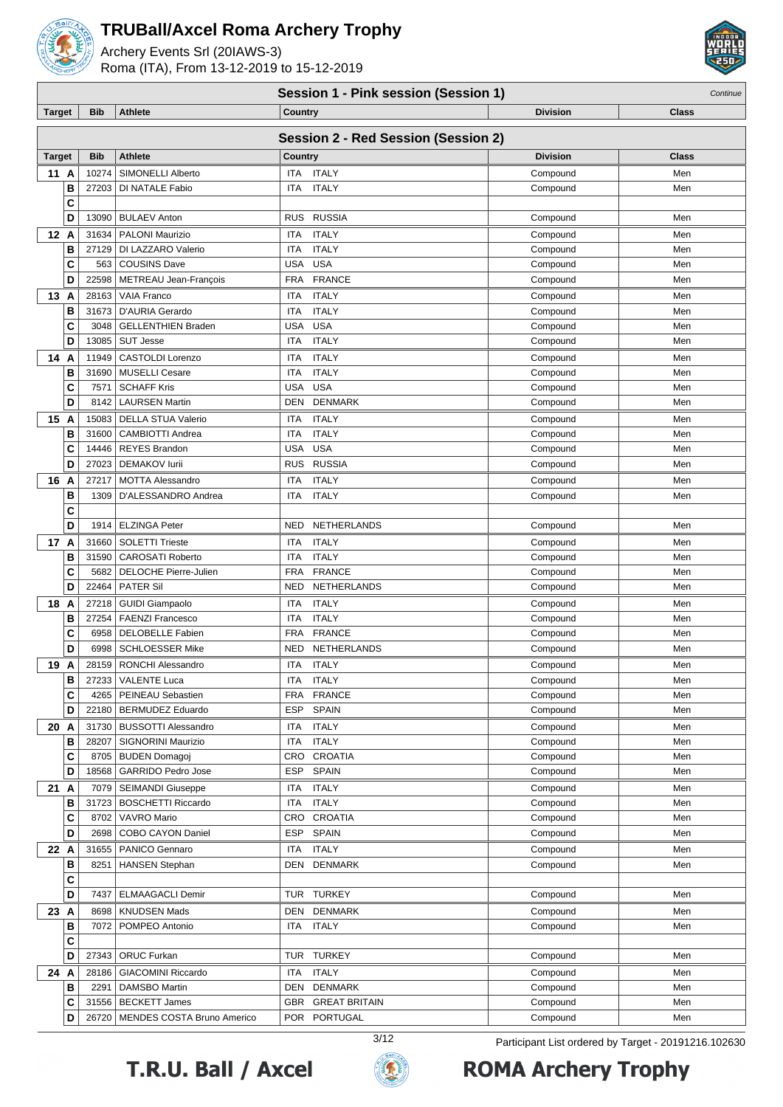

Archery Events Srl (20IAWS-3) Roma (ITA), From 13-12-2019 to 15-12-2019



#### **Session 1 - Pink session (Session 1)** Continue

| <b>Target</b> |        | <b>Bib</b>     | <b>Athlete</b>                                     | <b>Country</b>                                            | <b>Division</b>      | <b>Class</b> |
|---------------|--------|----------------|----------------------------------------------------|-----------------------------------------------------------|----------------------|--------------|
|               |        |                |                                                    | <b>Session 2 - Red Session (Session 2)</b>                |                      |              |
|               |        |                |                                                    |                                                           |                      |              |
| <b>Target</b> |        | <b>Bib</b>     | <b>Athlete</b>                                     | Country                                                   | <b>Division</b>      | <b>Class</b> |
| 11 A          | В      | 10274<br>27203 | SIMONELLI Alberto<br>DI NATALE Fabio               | ITA ITALY<br><b>ITALY</b><br><b>ITA</b>                   | Compound<br>Compound | Men<br>Men   |
|               | C      |                |                                                    |                                                           |                      |              |
|               | D      | 13090          | <b>BULAEV Anton</b>                                | <b>RUSSIA</b><br><b>RUS</b>                               | Compound             | Men          |
| 12 A          |        | 31634          | <b>PALONI Maurizio</b>                             | <b>ITALY</b><br><b>ITA</b>                                | Compound             | Men          |
|               | B      | 27129          | DI LAZZARO Valerio                                 | <b>ITALY</b><br><b>ITA</b>                                | Compound             | Men          |
|               | C      | 563            | <b>COUSINS Dave</b>                                | <b>USA</b><br><b>USA</b>                                  | Compound             | Men          |
|               | D      | 22598          | METREAU Jean-François                              | <b>FRANCE</b><br><b>FRA</b>                               | Compound             | Men          |
| 13            | A      | 28163          | <b>VAIA Franco</b>                                 | <b>ITALY</b><br>ITA                                       | Compound             | Men          |
|               | В      | 31673          | D'AURIA Gerardo                                    | <b>ITALY</b><br><b>ITA</b>                                | Compound             | Men          |
|               | C      | 3048           | <b>GELLENTHIEN Braden</b>                          | <b>USA</b><br><b>USA</b>                                  | Compound             | Men          |
|               | D      | 13085          | <b>SUT Jesse</b>                                   | <b>ITA</b><br><b>ITALY</b>                                | Compound             | Men          |
| 14            | A      | 11949          | <b>CASTOLDI Lorenzo</b>                            | <b>ITALY</b><br>ITA                                       | Compound             | Men          |
|               | B      | 31690          | <b>MUSELLI Cesare</b>                              | <b>ITALY</b><br><b>ITA</b>                                | Compound             | Men          |
|               | C      | 7571           | <b>SCHAFF Kris</b>                                 | <b>USA</b><br><b>USA</b>                                  | Compound             | Men          |
|               | D      | 8142           | <b>LAURSEN Martin</b>                              | <b>DENMARK</b><br>DEN                                     | Compound             | Men          |
| 15            | A      | 15083          | <b>DELLA STUA Valerio</b>                          | <b>ITALY</b><br>ITA                                       | Compound             | Men          |
|               | В      | 31600          | CAMBIOTTI Andrea                                   | <b>ITALY</b><br>ITA                                       | Compound             | Men          |
|               | C      | 14446          | <b>REYES Brandon</b>                               | <b>USA</b><br><b>USA</b>                                  | Compound             | Men          |
|               | D      | 27023          | <b>DEMAKOV lurii</b>                               | <b>RUSSIA</b><br><b>RUS</b>                               | Compound             | Men          |
| 16 A          |        | 27217          | <b>MOTTA Alessandro</b>                            | <b>ITALY</b><br>ITA                                       | Compound             | Men          |
|               | В      | 1309           | D'ALESSANDRO Andrea                                | <b>ITALY</b><br>ITA                                       | Compound             | Men          |
|               | C      |                |                                                    |                                                           |                      |              |
|               | D      | 1914           | <b>ELZINGA Peter</b>                               | NETHERLANDS<br><b>NED</b>                                 | Compound             | Men          |
| 17 A          |        | 31660          | <b>SOLETTI Trieste</b>                             | <b>ITALY</b><br>ITA                                       | Compound             | Men          |
|               | B      | 31590          | <b>CAROSATI Roberto</b>                            | <b>ITALY</b><br><b>ITA</b>                                | Compound             | Men          |
|               | C      | 5682           | <b>DELOCHE Pierre-Julien</b>                       | <b>FRA</b><br><b>FRANCE</b>                               | Compound             | Men          |
|               | D      | 22464          | <b>PATER Sil</b>                                   | <b>NED</b><br>NETHERLANDS                                 | Compound             | Men          |
| 18            | A      | 27218          | <b>GUIDI Giampaolo</b>                             | <b>ITALY</b><br>ITA                                       | Compound             | Men          |
|               | В<br>C | 27254<br>6958  | <b>FAENZI Francesco</b><br><b>DELOBELLE Fabien</b> | <b>ITALY</b><br><b>ITA</b><br><b>FRA</b><br><b>FRANCE</b> | Compound<br>Compound | Men<br>Men   |
|               | D      | 6998           | <b>SCHLOESSER Mike</b>                             | NETHERLANDS<br>NED                                        | Compound             | Men          |
| 19            | A      | 28159          | RONCHI Alessandro                                  | <b>ITALY</b><br>ITA                                       | Compound             | Men          |
|               | B      | 27233          | <b>VALENTE Luca</b>                                | <b>ITALY</b><br>ITA                                       | Compound             | Men          |
|               | С      |                | 4265   PEINEAU Sebastien                           | FRA<br>FRANCE                                             | Compound             | Men          |
|               | D      | 22180          | <b>BERMUDEZ Eduardo</b>                            | <b>ESP</b><br><b>SPAIN</b>                                | Compound             | Men          |
| 20 A          |        | 31730          | <b>BUSSOTTI Alessandro</b>                         | <b>ITALY</b><br>ITA                                       | Compound             | Men          |
|               | B      | 28207          | SIGNORINI Maurizio                                 | ITA<br><b>ITALY</b>                                       | Compound             | Men          |
|               | С      |                | 8705   BUDEN Domagoj                               | CRO CROATIA                                               | Compound             | Men          |
|               | D      | 18568          | <b>GARRIDO Pedro Jose</b>                          | ESP<br><b>SPAIN</b>                                       | Compound             | Men          |
| 21 A          |        | 7079           | <b>SEIMANDI Giuseppe</b>                           | <b>ITALY</b><br>ITA                                       | Compound             | Men          |
|               | в      |                | 31723   BOSCHETTI Riccardo                         | <b>ITALY</b><br>ITA                                       | Compound             | Men          |
|               | C      | 8702           | VAVRO Mario                                        | CRO CROATIA                                               | Compound             | Men          |
|               | D      | 2698           | COBO CAYON Daniel                                  | <b>SPAIN</b><br>ESP                                       | Compound             | Men          |
| 22 A          |        | 31655          | PANICO Gennaro                                     | ITA<br><b>ITALY</b>                                       | Compound             | Men          |
|               | В      | 8251           | <b>HANSEN Stephan</b>                              | <b>DENMARK</b><br>DEN                                     | Compound             | Men          |
|               | C      |                |                                                    |                                                           |                      |              |
|               | D      | 7437           | <b>ELMAAGACLI Demir</b>                            | TUR TURKEY                                                | Compound             | Men          |
| 23 A          |        | 8698           | <b>KNUDSEN Mads</b>                                | <b>DENMARK</b><br>DEN                                     | Compound             | Men          |
|               | в      | 7072           | POMPEO Antonio                                     | <b>ITALY</b><br>ITA                                       | Compound             | Men          |
|               | C      |                |                                                    |                                                           |                      |              |
|               | D      | 27343          | ORUC Furkan                                        | TUR TURKEY                                                | Compound             | Men          |
| 24 A          |        | 28186          | <b>GIACOMINI Riccardo</b>                          | <b>ITALY</b><br>ITA                                       | Compound             | Men          |
|               | B      |                | 2291   DAMSBO Martin                               | DEN DENMARK                                               | Compound             | Men          |





**C** 31556 BECKETT James GBR GREAT BRITAIN Compound Compound Men **D** 26720 MENDES COSTA Bruno Americo POR PORTUGAL Compound Compound Men

3/12 Participant List ordered by Target - 20191216.102630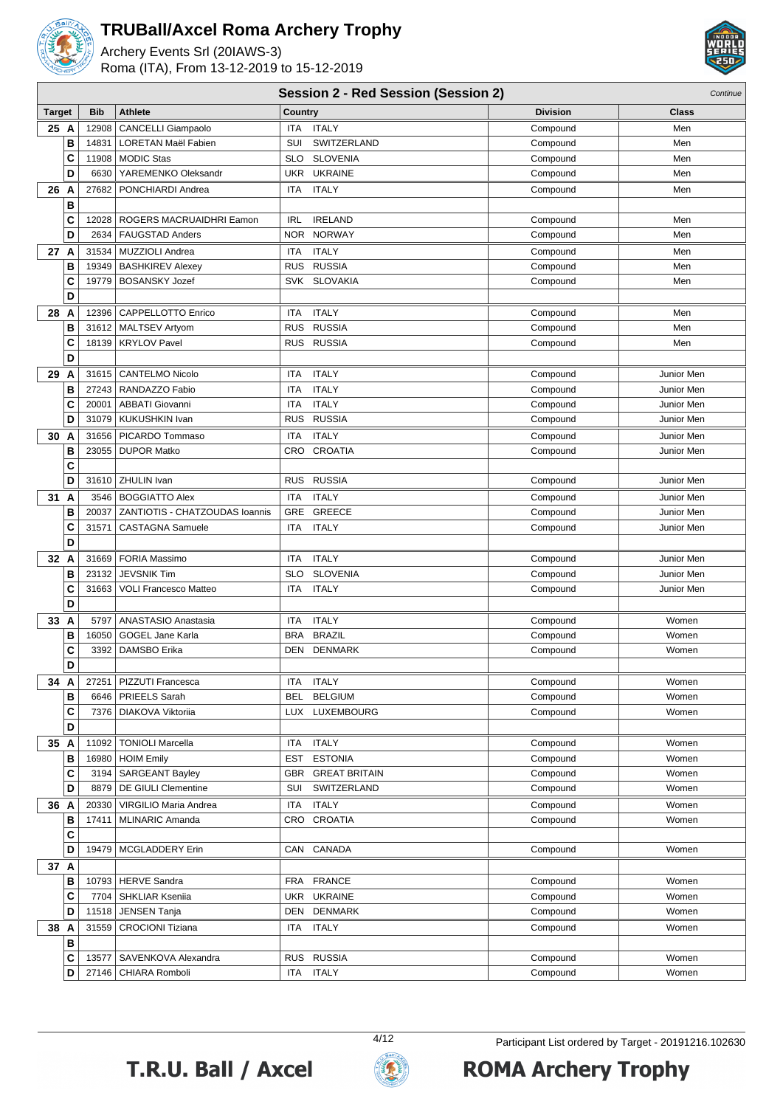

Archery Events Srl (20IAWS-3) Roma (ITA), From 13-12-2019 to 15-12-2019



|               | <b>Session 2 - Red Session (Session 2)</b><br>Continue |                                |            |                      |                 |              |
|---------------|--------------------------------------------------------|--------------------------------|------------|----------------------|-----------------|--------------|
| <b>Target</b> | <b>Bib</b>                                             | <b>Athlete</b>                 | Country    |                      | <b>Division</b> | <b>Class</b> |
| 25 A          | 12908                                                  | <b>CANCELLI Giampaolo</b>      | <b>ITA</b> | <b>ITALY</b>         | Compound        | Men          |
| B             | 14831                                                  | <b>LORETAN Maël Fabien</b>     | SUI        | SWITZERLAND          | Compound        | Men          |
| C             | 11908                                                  | <b>MODIC Stas</b>              | <b>SLO</b> | <b>SLOVENIA</b>      | Compound        | Men          |
| D             | 6630                                                   | YAREMENKO Oleksandr            | UKR        | <b>UKRAINE</b>       | Compound        | Men          |
| 26<br>A       | 27682                                                  | PONCHIARDI Andrea              | <b>ITA</b> | <b>ITALY</b>         | Compound        | Men          |
| B             |                                                        |                                |            |                      |                 |              |
| C             | 12028                                                  | ROGERS MACRUAIDHRI Eamon       | <b>IRL</b> | <b>IRELAND</b>       | Compound        | Men          |
| D             | 2634                                                   | <b>FAUGSTAD Anders</b>         | <b>NOR</b> | <b>NORWAY</b>        | Compound        | Men          |
| 27 A          | 31534                                                  | MUZZIOLI Andrea                | <b>ITA</b> | <b>ITALY</b>         | Compound        | Men          |
| B             | 19349                                                  | <b>BASHKIREV Alexey</b>        | <b>RUS</b> | <b>RUSSIA</b>        | Compound        | Men          |
| C             | 19779                                                  | <b>BOSANSKY Jozef</b>          | <b>SVK</b> | <b>SLOVAKIA</b>      | Compound        | Men          |
| D             |                                                        |                                |            |                      |                 |              |
| 28 A          | 12396                                                  | CAPPELLOTTO Enrico             | <b>ITA</b> | <b>ITALY</b>         | Compound        | Men          |
| B             |                                                        | 31612   MALTSEV Artyom         | <b>RUS</b> | <b>RUSSIA</b>        | Compound        | Men          |
| C             |                                                        | 18139   KRYLOV Pavel           | <b>RUS</b> | <b>RUSSIA</b>        | Compound        | Men          |
| D             |                                                        |                                |            |                      |                 |              |
| 29 A          | 31615                                                  | CANTELMO Nicolo                | ITA        | <b>ITALY</b>         | Compound        | Junior Men   |
| B             |                                                        | 27243   RANDAZZO Fabio         | <b>ITA</b> | <b>ITALY</b>         | Compound        | Junior Men   |
| C             | 20001                                                  | <b>ABBATI Giovanni</b>         | <b>ITA</b> | <b>ITALY</b>         | Compound        | Junior Men   |
| D             | 31079                                                  | KUKUSHKIN Ivan                 | <b>RUS</b> | <b>RUSSIA</b>        | Compound        | Junior Men   |
| 30 A          | 31656                                                  | PICARDO Tommaso                | <b>ITA</b> | <b>ITALY</b>         | Compound        | Junior Men   |
| B             | 23055                                                  | <b>DUPOR Matko</b>             | CRO        | <b>CROATIA</b>       | Compound        | Junior Men   |
| C             |                                                        |                                |            |                      |                 |              |
| D             | 31610                                                  | <b>ZHULIN Ivan</b>             | <b>RUS</b> | <b>RUSSIA</b>        | Compound        | Junior Men   |
| 31<br>A       | 3546                                                   | <b>BOGGIATTO Alex</b>          | <b>ITA</b> | <b>ITALY</b>         | Compound        | Junior Men   |
| B             | 20037                                                  | ZANTIOTIS - CHATZOUDAS Ioannis | GRE        | <b>GREECE</b>        | Compound        | Junior Men   |
| C             | 31571                                                  | <b>CASTAGNA Samuele</b>        | <b>ITA</b> | <b>ITALY</b>         | Compound        | Junior Men   |
| D             |                                                        |                                |            |                      |                 |              |
| 32 A          |                                                        | 31669   FORIA Massimo          | <b>ITA</b> | <b>ITALY</b>         | Compound        | Junior Men   |
| B             | 23132                                                  | <b>JEVSNIK Tim</b>             | <b>SLO</b> | <b>SLOVENIA</b>      | Compound        | Junior Men   |
| C             | 31663                                                  | <b>VOLI Francesco Matteo</b>   | <b>ITA</b> | <b>ITALY</b>         | Compound        | Junior Men   |
| D             |                                                        |                                |            |                      |                 |              |
| 33 A          | 5797                                                   | ANASTASIO Anastasia            | <b>ITA</b> | <b>ITALY</b>         | Compound        | Women        |
| B             | 16050                                                  | GOGEL Jane Karla               | <b>BRA</b> | <b>BRAZIL</b>        | Compound        | Women        |
| C             | 3392                                                   | DAMSBO Erika                   | DEN        | <b>DENMARK</b>       | Compound        | Women        |
| D             |                                                        |                                |            |                      |                 |              |
| 34 A          | 27251                                                  | PIZZUTI Francesca              | ITA        | <b>ITALY</b>         | Compound        | Women        |
| B             | 6646                                                   | <b>PRIEELS Sarah</b>           | <b>BEL</b> | <b>BELGIUM</b>       | Compound        | Women        |
| C             |                                                        | 7376   DIAKOVA Viktoriia       |            | LUX LUXEMBOURG       | Compound        | Women        |
| D             |                                                        |                                |            |                      |                 |              |
| 35 A          | 11092                                                  | <b>TONIOLI Marcella</b>        | ITA        | <b>ITALY</b>         | Compound        | Women        |
| B             |                                                        | 16980 HOIM Emily               | EST        | <b>ESTONIA</b>       | Compound        | Women        |
| C             |                                                        | 3194   SARGEANT Bayley         | GBR        | <b>GREAT BRITAIN</b> | Compound        | Women        |
| D             | 8879                                                   | <b>DE GIULI Clementine</b>     | SUI        | SWITZERLAND          | Compound        | Women        |
| 36 A          | 20330                                                  | VIRGILIO Maria Andrea          | ITA        | <b>ITALY</b>         | Compound        | Women        |
| В             | 17411                                                  | MLINARIC Amanda                |            | CRO CROATIA          | Compound        | Women        |
| C             |                                                        |                                |            |                      |                 |              |
| D             |                                                        | 19479   MCGLADDERY Erin        |            | CAN CANADA           | Compound        | Women        |
| 37 A          |                                                        |                                |            |                      |                 |              |
| в             |                                                        | 10793 HERVE Sandra             | FRA        | <b>FRANCE</b>        | Compound        | Women        |
| С             | 7704                                                   | SHKLIAR Kseniia                | UKR        | <b>UKRAINE</b>       | Compound        | Women        |
| D             | 11518                                                  | JENSEN Tanja                   | DEN        | <b>DENMARK</b>       | Compound        | Women        |
| 38 A          | 31559                                                  | <b>CROCIONI Tiziana</b>        | ITA        | <b>ITALY</b>         | Compound        | Women        |
| B             |                                                        |                                |            |                      |                 |              |
| C             | 13577                                                  | SAVENKOVA Alexandra            | <b>RUS</b> | <b>RUSSIA</b>        | Compound        | Women        |
| D             |                                                        | 27146   CHIARA Romboli         | ITA        | <b>ITALY</b>         | Compound        | Women        |



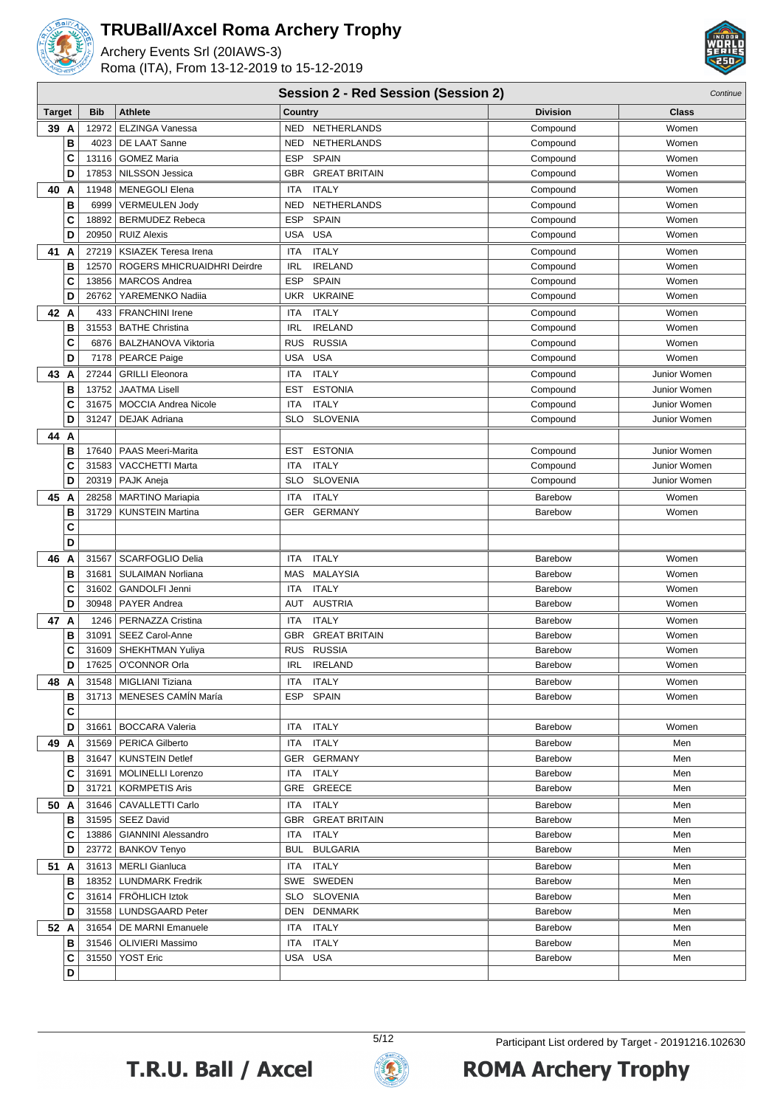

Archery Events Srl (20IAWS-3) Roma (ITA), From 13-12-2019 to 15-12-2019



#### **Session 2 - Red Session (Session 2)** Continue

| <b>Target</b> |   | <b>Bib</b> | <b>Athlete</b>              | Country                            | <b>Division</b> | Class        |
|---------------|---|------------|-----------------------------|------------------------------------|-----------------|--------------|
| 39 A          |   | 12972      | ELZINGA Vanessa             | NETHERLANDS<br>NED                 | Compound        | Women        |
|               | B | 4023       | DE LAAT Sanne               | <b>NED</b><br><b>NETHERLANDS</b>   | Compound        | Women        |
|               | C | 13116      | <b>GOMEZ Maria</b>          | <b>ESP</b><br><b>SPAIN</b>         | Compound        | Women        |
|               | D | 17853      | <b>NILSSON Jessica</b>      | <b>GREAT BRITAIN</b><br>GBR        | Compound        | Women        |
| 40            | A | 11948      | <b>MENEGOLI Elena</b>       | <b>ITALY</b><br>ITA                | Compound        | Women        |
|               | B | 6999       | <b>VERMEULEN Jody</b>       | NETHERLANDS<br><b>NED</b>          | Compound        | Women        |
|               | C | 18892      | <b>BERMUDEZ Rebeca</b>      | <b>SPAIN</b><br><b>ESP</b>         | Compound        | Women        |
|               | D | 20950      | <b>RUIZ Alexis</b>          | <b>USA</b><br><b>USA</b>           | Compound        | Women        |
| 41            | А | 27219      | <b>KSIAZEK Teresa Irena</b> | <b>ITALY</b><br>ITA                | Compound        | Women        |
|               | B | 12570      | ROGERS MHICRUAIDHRI Deirdre | <b>IRL</b><br><b>IRELAND</b>       | Compound        | Women        |
|               | C | 13856      | <b>MARCOS Andrea</b>        | <b>ESP</b><br><b>SPAIN</b>         | Compound        | Women        |
|               | D | 26762      | YAREMENKO Nadiia            | <b>UKR</b><br><b>UKRAINE</b>       | Compound        | Women        |
| 42            | A | 433        | <b>FRANCHINI Irene</b>      | <b>ITALY</b><br>ITA                | Compound        | Women        |
|               | B | 31553      | <b>BATHE Christina</b>      | <b>IRELAND</b><br><b>IRL</b>       | Compound        | Women        |
|               | C | 6876       | <b>BALZHANOVA Viktoria</b>  | <b>RUS</b><br><b>RUSSIA</b>        | Compound        | Women        |
|               | D | 7178       | <b>PEARCE Paige</b>         | <b>USA</b><br><b>USA</b>           | Compound        | Women        |
| 43            | A | 27244      | <b>GRILLI Eleonora</b>      | <b>ITALY</b><br>ITA                | Compound        | Junior Women |
|               | B | 13752      | <b>JAATMA Lisell</b>        | <b>ESTONIA</b><br><b>EST</b>       | Compound        | Junior Women |
|               | C | 31675      | <b>MOCCIA Andrea Nicole</b> | <b>ITALY</b><br>ITA                | Compound        | Junior Women |
|               | D | 31247      | <b>DEJAK Adriana</b>        | <b>SLOVENIA</b><br><b>SLO</b>      | Compound        | Junior Women |
| 44            | A |            |                             |                                    |                 |              |
|               | B | 17640      | <b>PAAS Meeri-Marita</b>    | <b>ESTONIA</b><br>EST              | Compound        | Junior Women |
|               | C | 31583      | <b>VACCHETTI Marta</b>      | <b>ITALY</b><br>ITA                | Compound        | Junior Women |
|               | D |            | 20319   PAJK Aneja          | <b>SLO</b><br><b>SLOVENIA</b>      | Compound        | Junior Women |
| 45            | A | 28258      | <b>MARTINO Mariapia</b>     | <b>ITALY</b><br><b>ITA</b>         | <b>Barebow</b>  | Women        |
|               | B | 31729      | <b>KUNSTEIN Martina</b>     | <b>GERMANY</b><br>GER              | Barebow         | Women        |
|               | C |            |                             |                                    |                 |              |
|               | D |            |                             |                                    |                 |              |
| 46            | A | 31567      | <b>SCARFOGLIO Delia</b>     | <b>ITALY</b><br>ITA                | Barebow         | Women        |
|               | в | 31681      | <b>SULAIMAN Norliana</b>    | <b>MALAYSIA</b><br>MAS             | Barebow         | Women        |
|               | C | 31602      | <b>GANDOLFI Jenni</b>       | <b>ITALY</b><br>ITA                | Barebow         | Women        |
|               | D | 30948      | <b>PAYER Andrea</b>         | <b>AUSTRIA</b><br>AUT              | Barebow         | Women        |
| 47            | A | 1246       | PERNAZZA Cristina           | <b>ITALY</b><br>ITA                | Barebow         | Women        |
|               | в | 31091      | SEEZ Carol-Anne             | <b>GREAT BRITAIN</b><br><b>GBR</b> | Barebow         | Women        |
|               | C |            | 31609   SHEKHTMAN Yuliya    | <b>RUSSIA</b><br><b>RUS</b>        | <b>Barebow</b>  | Women        |
|               | D | 17625      | O'CONNOR Orla               | <b>IRELAND</b><br><b>IRL</b>       | <b>Barebow</b>  | Women        |
| 48            | A | 31548      | MIGLIANI Tiziana            | <b>ITALY</b><br>ITA                | <b>Barebow</b>  | Women        |
|               | в |            | 31713   MENESES CAMIN María | ESP SPAIN                          | Barebow         | Women        |
|               | C |            |                             |                                    |                 |              |
|               | D | 31661      | BOCCARA Valeria             | <b>ITALY</b><br>ITA                | <b>Barebow</b>  | Women        |
| 49 A          |   |            | 31569   PERICA Gilberto     | <b>ITALY</b><br>ITA                | Barebow         | Men          |
|               | в | 31647      | KUNSTEIN Detlef             | GER GERMANY                        | Barebow         | Men          |
|               | С | 31691      | MOLINELLI Lorenzo           | ITA ITALY                          | Barebow         | Men          |
|               | D | 31721      | KORMPETIS Aris              | GRE GREECE                         | Barebow         | Men          |
| 50 A          |   |            | 31646   CAVALLETTI Carlo    | ITA ITALY                          | Barebow         | Men          |
|               | в |            | 31595   SEEZ David          | GBR GREAT BRITAIN                  | Barebow         | Men          |
|               | С |            | 13886   GIANNINI Alessandro | ITALY<br>ITA                       | Barebow         | Men          |
|               | D |            | 23772   BANKOV Tenyo        | <b>BUL BULGARIA</b>                | <b>Barebow</b>  | Men          |
| 51 A          |   |            | 31613   MERLI Gianluca      | ITA ITALY                          | Barebow         | Men          |
|               | в |            | 18352   LUNDMARK Fredrik    | SWE SWEDEN                         | <b>Barebow</b>  | Men          |
|               | С |            | 31614   FROHLICH Iztok      | SLO SLOVENIA                       | Barebow         | Men          |
|               | D |            | 31558   LUNDSGAARD Peter    | DEN DENMARK                        | Barebow         | Men          |
| 52 A          |   |            | 31654   DE MARNI Emanuele   | ITA<br>ITALY                       | Barebow         | Men          |
|               | в |            | 31546   OLIVIERI Massimo    | <b>ITALY</b><br>ITA                | Barebow         | Men          |
|               | С |            | 31550   YOST Eric           | USA USA                            | Barebow         | Men          |
|               | D |            |                             |                                    |                 |              |



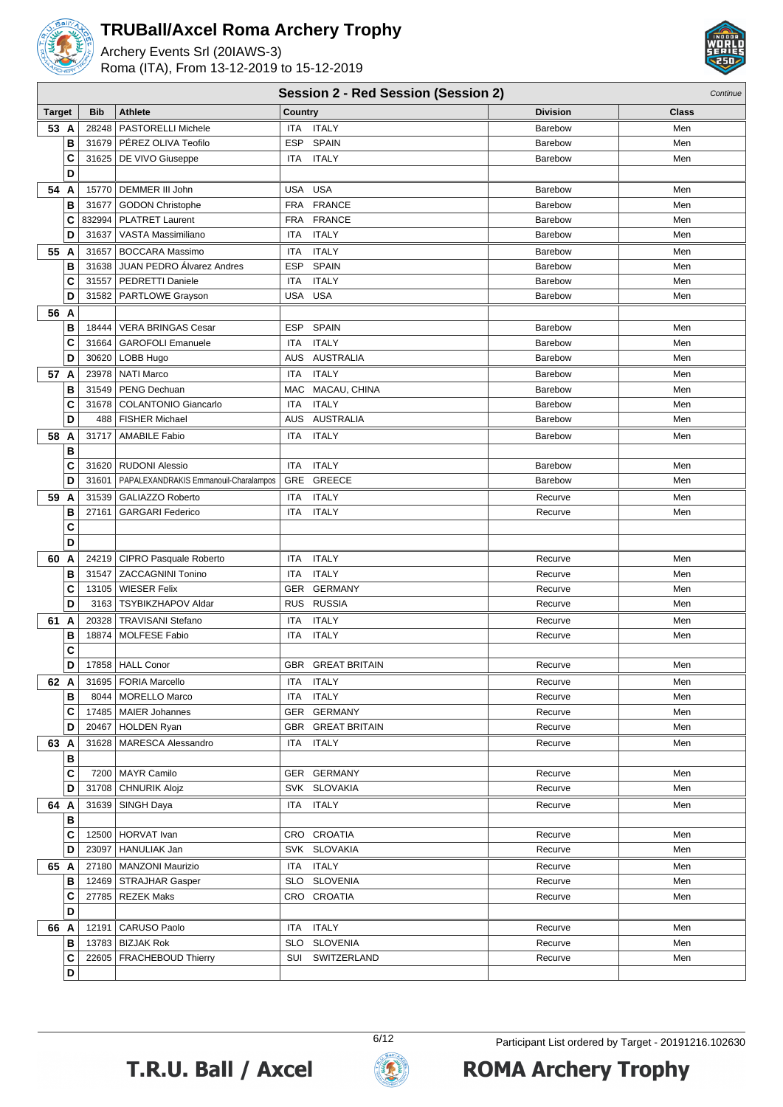

**C**

**B**

**B**

**D**

**D**

## **TRUBall/Axcel Roma Archery Trophy**

Archery Events Srl (20IAWS-3)



|        |   |            |                                       | <b>Session 2 - Red Session (Session 2)</b> |                 | Continue     |
|--------|---|------------|---------------------------------------|--------------------------------------------|-----------------|--------------|
| Target |   | <b>Bib</b> | <b>Athlete</b>                        | Country                                    | <b>Division</b> | <b>Class</b> |
| 53 A   |   | 28248      | <b>PASTORELLI Michele</b>             | <b>ITALY</b><br>ITA                        | Barebow         | Men          |
|        | B |            | 31679   PÉREZ OLIVA Teofilo           | <b>SPAIN</b><br><b>ESP</b>                 | <b>Barebow</b>  | Men          |
|        | C |            | 31625   DE VIVO Giuseppe              | <b>ITALY</b><br>ITA                        | Barebow         | Men          |
|        | D |            |                                       |                                            |                 |              |
| 54 A   |   |            | 15770   DEMMER III John               | <b>USA</b><br>USA                          | Barebow         | Men          |
|        | в | 31677      | GODON Christophe                      | <b>FRANCE</b><br><b>FRA</b>                | Barebow         | Men          |
|        | C |            | 832994   PLATRET Laurent              | FRA FRANCE                                 | Barebow         | Men          |
|        | D | 31637      | VASTA Massimiliano                    | <b>ITALY</b><br><b>ITA</b>                 | Barebow         | Men          |
| 55 A   |   | 31657      | <b>BOCCARA Massimo</b>                | <b>ITALY</b><br><b>ITA</b>                 | Barebow         | Men          |
|        | в | 31638      | JUAN PEDRO Álvarez Andres             | ESP<br><b>SPAIN</b>                        | Barebow         | Men          |
|        | C | 31557      | PEDRETTI Daniele                      | <b>ITALY</b><br><b>ITA</b>                 | Barebow         | Men          |
|        | D | 31582      | PARTLOWE Grayson                      | USA USA                                    | Barebow         | Men          |
| 56 A   |   |            |                                       |                                            |                 |              |
|        | в |            | 18444   VERA BRINGAS Cesar            | <b>SPAIN</b><br>ESP                        | <b>Barebow</b>  | Men          |
|        | C | 31664      | <b>GAROFOLI Emanuele</b>              | <b>ITALY</b><br><b>ITA</b>                 | Barebow         | Men          |
|        | D |            | 30620   LOBB Hugo                     | <b>AUSTRALIA</b><br><b>AUS</b>             | Barebow         | Men          |
| 57 A   |   |            | 23978   NATI Marco                    | <b>ITALY</b><br><b>ITA</b>                 | Barebow         | Men          |
|        | В |            | 31549   PENG Dechuan                  | MAC<br>MACAU, CHINA                        | Barebow         | Men          |
|        | C | 31678      | <b>COLANTONIO Giancarlo</b>           | <b>ITALY</b><br><b>ITA</b>                 | Barebow         | Men          |
|        | D | 488        | FISHER Michael                        | AUS AUSTRALIA                              | Barebow         | Men          |
| 58 A   |   | 31717      | <b>AMABILE Fabio</b>                  | <b>ITALY</b><br>ITA                        | Barebow         | Men          |
|        | В |            |                                       |                                            |                 |              |
|        | C |            | 31620   RUDONI Alessio                | <b>ITALY</b><br><b>ITA</b>                 | Barebow         | Men          |
|        | D | 31601      | PAPALEXANDRAKIS Emmanouil-Charalampos | <b>GRE</b><br><b>GREECE</b>                | Barebow         | Men          |
| 59 A   |   | 31539      | GALIAZZO Roberto                      | <b>ITALY</b><br><b>ITA</b>                 | Recurve         | Men          |
|        | B | 27161      | <b>GARGARI Federico</b>               | <b>ITALY</b><br>ITA                        | Recurve         | Men          |
|        | С |            |                                       |                                            |                 |              |
|        | D |            |                                       |                                            |                 |              |
| 60 A   |   |            | 24219   CIPRO Pasquale Roberto        | <b>ITALY</b><br>ITA                        | Recurve         | Men          |
|        | в |            | 31547   ZACCAGNINI Tonino             | <b>ITALY</b><br><b>ITA</b>                 | Recurve         | Men          |
|        | C | 13105      | <b>WIESER Felix</b>                   | <b>GER</b><br><b>GERMANY</b>               | Recurve         | Men          |
|        | D | 3163       | <b>TSYBIKZHAPOV Aldar</b>             | RUS RUSSIA                                 | Recurve         | Men          |
| 61 A   |   | 20328      | <b>TRAVISANI Stefano</b>              | <b>ITALY</b><br><b>ITA</b>                 | Recurve         | Men          |
|        | B | 18874      | <b>MOLFESE Fabio</b>                  | <b>ITA</b><br><b>ITALY</b>                 | Recurve         | Men          |
|        | C |            |                                       |                                            |                 |              |

**D** 17858 HALL Conor GBR GREAT BRITAIN Recurve Men **62 A** 31695 FORIA Marcello **ITA ITALY ITA ITALY** Recurve Recurve Men **B** 8044 MORELLO Marco **ITA ITALY Recurve** Recurve Men **C** 17485 MAIER Johannes GER GERMANY Recurve Recurve Men **D** 20467 HOLDEN Ryan GBR GREAT BRITAIN Recurve Recurve Men **63 A** 31628 MARESCA Alessandro ITA ITALY Recurve Recurve Men

**C** 7200 MAYR Camilo GER GERMANY Recurve Men **D** 31708 CHNURIK Alojz SVK SLOVAKIA Recurve Recurve Men **64 A** | 31639 | SINGH Daya | ITA ITALY Recurve | Men

**C** | 12500 | HORVAT Ivan | CRO CROATIA Recurve Men **D** | 23097 | HANULIAK Jan Nemetra SVK SLOVAKIA Nemetra Mental Recurve Nemetra Men **65 A** 27180 MANZONI Maurizio ITA ITALY Recurve Men **B** 12469 STRAJHAR Gasper SLO SLOVENIA Recurve Recurve Men **C** | 27785 REZEK Maks | CRO CROATIA Recurve Men

**66 A** 12191 CARUSO Paolo **ITA ITALY** THE TALY Recurve Recurve Men **B** 13783 BIZJAK Rok SLO SLOVENIA Recurve Men **C** 22605 FRACHEBOUD Thierry SUI SWITZERLAND Recurve Recurve Men



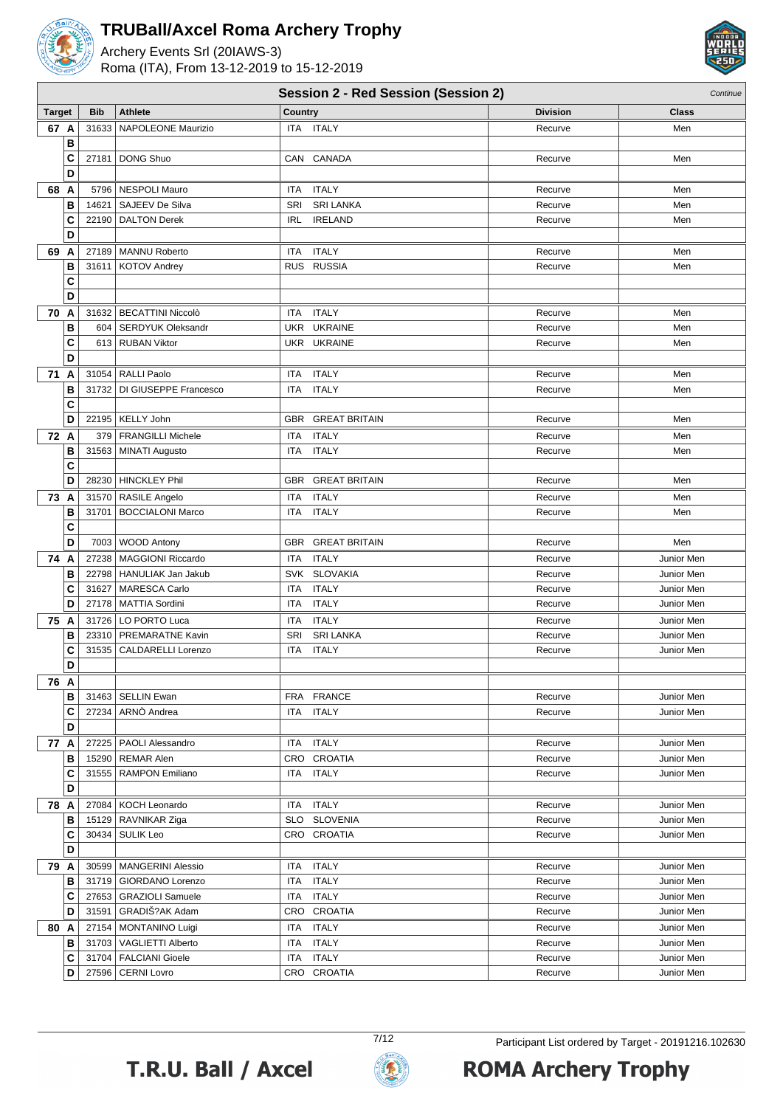

Archery Events Srl (20IAWS-3) Roma (ITA), From 13-12-2019 to 15-12-2019



|               | <b>Session 2 - Red Session (Session 2)</b><br>Continue |                             |                                    |                 |            |  |  |
|---------------|--------------------------------------------------------|-----------------------------|------------------------------------|-----------------|------------|--|--|
| <b>Target</b> | <b>Bib</b>                                             | <b>Athlete</b>              | <b>Country</b>                     | <b>Division</b> | Class      |  |  |
| 67 A          | 31633                                                  | <b>NAPOLEONE Maurizio</b>   | ITA ITALY                          | Recurve         | Men        |  |  |
| B             |                                                        |                             |                                    |                 |            |  |  |
| C             |                                                        | 27181   DONG Shuo           | CAN CANADA                         | Recurve         | Men        |  |  |
| D             |                                                        |                             |                                    |                 |            |  |  |
| 68 A          |                                                        | 5796   NESPOLI Mauro        | <b>ITALY</b><br>ITA                | Recurve         | Men        |  |  |
| В             | 14621                                                  | SAJEEV De Silva             | SRI<br><b>SRI LANKA</b>            | Recurve         | Men        |  |  |
| C             | 22190                                                  | <b>DALTON Derek</b>         | <b>IRELAND</b><br><b>IRL</b>       | Recurve         | Men        |  |  |
| D             |                                                        |                             |                                    |                 |            |  |  |
| 69 A          |                                                        | 27189   MANNU Roberto       | <b>ITALY</b><br>ITA                | Recurve         | Men        |  |  |
| В             | 31611                                                  | KOTOV Andrey                | RUS RUSSIA                         | Recurve         | Men        |  |  |
| C             |                                                        |                             |                                    |                 |            |  |  |
| D             |                                                        |                             |                                    |                 |            |  |  |
| 70 A          |                                                        | 31632   BECATTINI Niccolò   | <b>ITALY</b><br>ITA                | Recurve         | Men        |  |  |
| B             |                                                        | 604   SERDYUK Oleksandr     | UKR UKRAINE                        | Recurve         | Men        |  |  |
| C             |                                                        | 613   RUBAN Viktor          | UKR UKRAINE                        | Recurve         | Men        |  |  |
| D             |                                                        |                             |                                    |                 |            |  |  |
| 71 A          |                                                        | 31054   RALLI Paolo         | <b>ITALY</b><br>ITA                | Recurve         | Men        |  |  |
| В             |                                                        | 31732 DI GIUSEPPE Francesco | <b>ITALY</b><br><b>ITA</b>         | Recurve         | Men        |  |  |
| C             |                                                        |                             |                                    |                 |            |  |  |
| D             |                                                        | 22195   KELLY John          | <b>GREAT BRITAIN</b><br><b>GBR</b> | Recurve         | Men        |  |  |
| 72 A          |                                                        | 379   FRANGILLI Michele     | <b>ITALY</b><br><b>ITA</b>         | Recurve         | Men        |  |  |
| В             |                                                        | 31563   MINATI Augusto      | <b>ITALY</b><br>ITA                | Recurve         | Men        |  |  |
| C             |                                                        |                             |                                    |                 |            |  |  |
| D             |                                                        | 28230   HINCKLEY Phil       | <b>GREAT BRITAIN</b><br><b>GBR</b> | Recurve         | Men        |  |  |
| 73<br>A       |                                                        | 31570   RASILE Angelo       | <b>ITALY</b><br><b>ITA</b>         | Recurve         | Men        |  |  |
| В             | 31701                                                  | <b>BOCCIALONI Marco</b>     | <b>ITALY</b><br><b>ITA</b>         | Recurve         | Men        |  |  |
| C             |                                                        |                             |                                    |                 |            |  |  |
| D             |                                                        | 7003   WOOD Antony          | <b>GREAT BRITAIN</b><br><b>GBR</b> | Recurve         | Men        |  |  |
| 74 A          | 27238                                                  | MAGGIONI Riccardo           | <b>ITALY</b><br><b>ITA</b>         | Recurve         | Junior Men |  |  |
| В             |                                                        | 22798   HANULIAK Jan Jakub  | <b>SLOVAKIA</b><br><b>SVK</b>      | Recurve         | Junior Men |  |  |
| C             | 31627                                                  | MARESCA Carlo               | <b>ITALY</b><br><b>ITA</b>         | Recurve         | Junior Men |  |  |
| D             |                                                        | 27178   MATTIA Sordini      | <b>ITALY</b><br>ITA                | Recurve         | Junior Men |  |  |
| 75<br>A       |                                                        | 31726   LO PORTO Luca       | <b>ITALY</b><br>ITA                | Recurve         | Junior Men |  |  |
| В             |                                                        | 23310   PREMARATNE Kavin    | <b>SRI LANKA</b><br>SRI            | Recurve         | Junior Men |  |  |
| C             | 31535                                                  | <b>CALDARELLI Lorenzo</b>   | <b>ITALY</b><br>ITA                | Recurve         | Junior Men |  |  |
| D             |                                                        |                             |                                    |                 |            |  |  |
| 76 A          |                                                        |                             |                                    |                 |            |  |  |
| в             |                                                        | 31463   SELLIN Ewan         | <b>FRANCE</b><br>FRA               | Recurve         | Junior Men |  |  |
| C             |                                                        | 27234   ARNO Andrea         | <b>ITALY</b><br>ITA                | Recurve         | Junior Men |  |  |
| D             |                                                        |                             |                                    |                 |            |  |  |
| 77 A          |                                                        | 27225   PAOLI Alessandro    | <b>ITALY</b><br>ITA                | Recurve         | Junior Men |  |  |
| в             | 15290                                                  | <b>REMAR Alen</b>           | <b>CROATIA</b><br>CRO              | Recurve         | Junior Men |  |  |
| C             |                                                        | 31555   RAMPON Emiliano     | <b>ITALY</b><br>ITA                | Recurve         | Junior Men |  |  |
| D             |                                                        |                             |                                    |                 |            |  |  |
| 78 A          |                                                        | 27084   KOCH Leonardo       | <b>ITALY</b><br>ITA                | Recurve         | Junior Men |  |  |
| В             |                                                        | 15129   RAVNIKAR Ziga       | <b>SLOVENIA</b><br><b>SLO</b>      | Recurve         | Junior Men |  |  |
| C             |                                                        | 30434   SULIK Leo           | CRO CROATIA                        | Recurve         | Junior Men |  |  |
| D             |                                                        |                             |                                    |                 |            |  |  |
| 79 A          |                                                        | 30599   MANGERINI Alessio   | <b>ITALY</b><br>ITA                | Recurve         | Junior Men |  |  |
| В             | 31719                                                  | GIORDANO Lorenzo            | <b>ITALY</b><br>ITA                | Recurve         | Junior Men |  |  |
| C             |                                                        | 27653   GRAZIOLI Samuele    | ITA ITALY                          | Recurve         | Junior Men |  |  |
| D             | 31591                                                  | GRADIŠ?AK Adam              | CRO CROATIA                        | Recurve         | Junior Men |  |  |
| 80 A          |                                                        | 27154   MONTANINO Luigi     | ITALY<br>ITA                       | Recurve         | Junior Men |  |  |
| В             |                                                        | 31703   VAGLIETTI Alberto   | <b>ITALY</b><br>ITA.               | Recurve         | Junior Men |  |  |
| C             |                                                        | 31704   FALCIANI Gioele     | <b>ITALY</b><br>ITA                | Recurve         | Junior Men |  |  |
| D             |                                                        | 27596   CERNI Lovro         | CRO CROATIA                        | Recurve         | Junior Men |  |  |



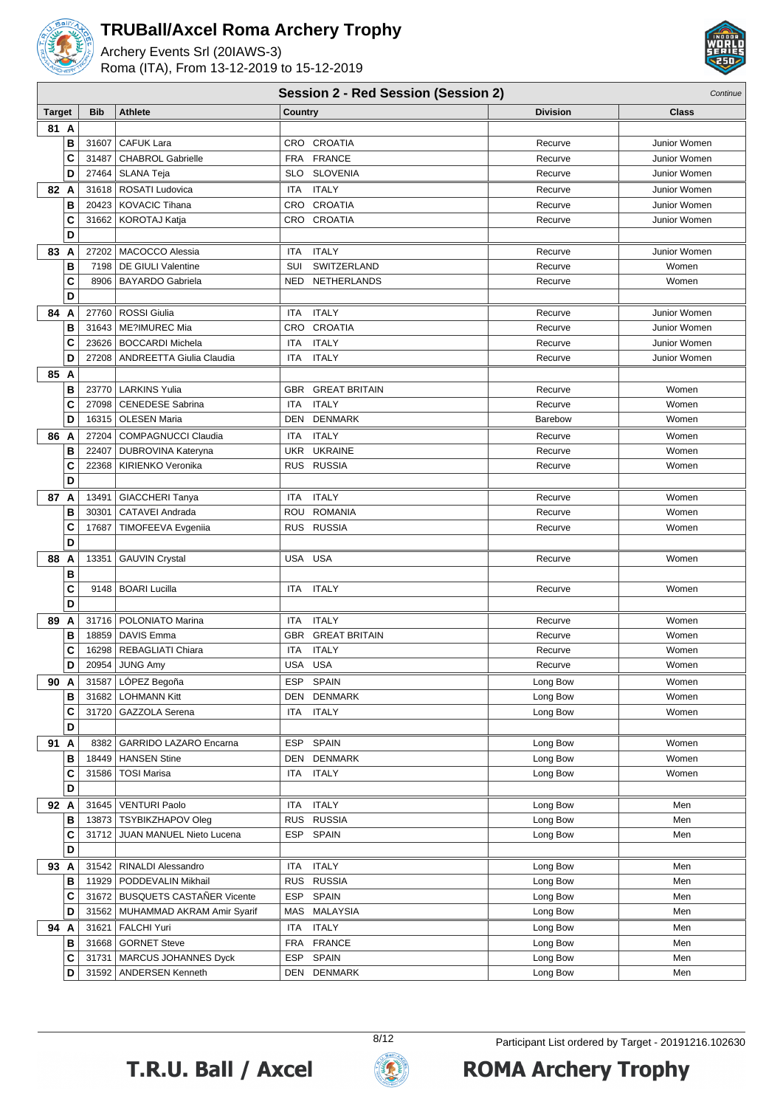

Archery Events Srl (20IAWS-3) Roma (ITA), From 13-12-2019 to 15-12-2019



#### **Session 2 - Red Session (Session 2)** Continue

| 81 A<br>B<br>CRO CROATIA<br><b>CAFUK Lara</b><br>31607<br>Recurve<br>Junior Women<br>C<br><b>FRANCE</b><br><b>CHABROL Gabrielle</b><br><b>FRA</b><br>31487<br>Recurve<br>Junior Women<br>D<br>SLO SLOVENIA<br>27464<br>SLANA Teja<br>Recurve<br>Junior Women<br><b>ITALY</b><br>82 A<br>31618   ROSATI Ludovica<br><b>ITA</b><br>Recurve<br>Junior Women<br>B<br>CRO CROATIA<br>20423<br><b>KOVACIC Tihana</b><br>Junior Women<br>Recurve<br>C<br>CRO CROATIA<br>31662   KOROTAJ Katja<br>Recurve<br>Junior Women<br>D<br>83 A<br><b>ITALY</b><br>Junior Women<br>27202   MACOCCO Alessia<br>ITA<br>Recurve<br>B<br>SUI<br>SWITZERLAND<br>7198   DE GIULI Valentine<br>Recurve<br>Women<br>C<br>8906   BAYARDO Gabriela<br>NED NETHERLANDS<br>Recurve<br>Women<br>D<br>84 A<br>27760   ROSSI Giulia<br><b>ITALY</b><br><b>ITA</b><br>Recurve<br>Junior Women<br>B<br>31643   ME?IMUREC Mia<br>CRO CROATIA<br>Recurve<br>Junior Women<br><b>ITALY</b><br>C<br>ITA<br>23626   BOCCARDI Michela<br>Recurve<br>Junior Women<br>D<br><b>ITALY</b><br>27208   ANDREETTA Giulia Claudia<br>ITA<br>Junior Women<br>Recurve<br>85 A<br>B<br>23770   LARKINS Yulia<br>GBR GREAT BRITAIN<br>Recurve<br>Women<br>C<br><b>ITALY</b><br><b>CENEDESE Sabrina</b><br><b>ITA</b><br>Women<br>27098<br>Recurve<br>D<br><b>OLESEN Maria</b><br><b>DENMARK</b><br>16315<br>DEN<br>Women<br><b>Barebow</b><br>27204<br>COMPAGNUCCI Claudia<br><b>ITALY</b><br>86 A<br><b>ITA</b><br>Recurve<br>Women<br>B<br><b>UKRAINE</b><br>22407<br>DUBROVINA Kateryna<br>UKR<br>Recurve<br>Women<br>C<br>22368<br>KIRIENKO Veronika<br>RUS RUSSIA<br>Recurve<br>Women<br>D<br><b>ITALY</b><br>87 A<br>13491<br><b>GIACCHERI Tanya</b><br><b>ITA</b><br>Recurve<br>Women<br>ROU ROMANIA<br>B<br>30301<br>CATAVEI Andrada<br>Women<br>Recurve<br>C<br>RUS RUSSIA<br>17687<br>TIMOFEEVA Evgeniia<br>Recurve<br>Women<br>D<br>88 A<br>USA USA<br>13351<br><b>GAUVIN Crystal</b><br>Recurve<br>Women<br>B<br>C<br><b>ITALY</b><br>9148   BOARI Lucilla<br>ITA<br>Recurve<br>Women<br>D<br>89<br><b>ITALY</b><br>A<br>31716   POLONIATO Marina<br>ITA<br>Recurve<br>Women<br>B<br>18859   DAVIS Emma<br>GBR GREAT BRITAIN<br>Recurve<br>Women<br>C<br><b>ITALY</b><br>16298   REBAGLIATI Chiara<br>ITA<br>Recurve<br>Women<br>USA USA<br>D<br>20954<br>Recurve<br>Women<br><b>JUNG Amy</b><br>31587   LÓPEZ Begoña<br>ESP SPAIN<br>Long Bow<br>90 A<br>Women<br>в<br>31682   LOHMANN Kitt<br>DEN DENMARK<br>Long Bow<br>Women<br>C<br>ITA ITALY<br>31720   GAZZOLA Serena<br>Long Bow<br>Women<br>D<br>ESP SPAIN<br>91 A<br>8382   GARRIDO LAZARO Encarna<br>Long Bow<br>Women<br>в<br><b>DENMARK</b><br>18449   HANSEN Stine<br>DEN<br>Long Bow<br>Women<br>C<br>ITA ITALY<br>31586   TOSI Marisa<br>Long Bow<br>Women<br>D<br>92 A<br>31645   VENTURI Paolo<br><b>ITALY</b><br>ITA<br>Long Bow<br>Men<br>RUS RUSSIA<br>13873 TSYBIKZHAPOV Oleg<br>Men<br>в<br>Long Bow<br>C<br>ESP SPAIN<br>31712 JUAN MANUEL Nieto Lucena<br>Men<br>Long Bow<br>D<br>93 A<br>31542   RINALDI Alessandro<br><b>ITALY</b><br>Long Bow<br>ITA<br>Men<br>в<br>11929   PODDEVALIN Mikhail<br>RUS RUSSIA<br>Long Bow<br>Men<br>ESP SPAIN<br>31672 BUSQUETS CASTAÑER Vicente<br>C<br>Long Bow<br>Men<br>D<br>MAS MALAYSIA<br>31562   MUHAMMAD AKRAM Amir Syarif<br>Long Bow<br>Men<br>94 A<br>31621   FALCHI Yuri<br>ITA ITALY<br>Long Bow<br>Men<br>в<br>31668 GORNET Steve<br>FRA FRANCE<br>Long Bow<br>Men<br>ESP SPAIN<br>C<br>31731   MARCUS JOHANNES Dyck<br>Long Bow<br>Men<br>D<br>31592   ANDERSEN Kenneth<br>DEN DENMARK<br>Long Bow<br>Men | <b>Target</b> | <b>Bib</b> | <b>Athlete</b> | Country | <b>Division</b> | Class |
|---------------------------------------------------------------------------------------------------------------------------------------------------------------------------------------------------------------------------------------------------------------------------------------------------------------------------------------------------------------------------------------------------------------------------------------------------------------------------------------------------------------------------------------------------------------------------------------------------------------------------------------------------------------------------------------------------------------------------------------------------------------------------------------------------------------------------------------------------------------------------------------------------------------------------------------------------------------------------------------------------------------------------------------------------------------------------------------------------------------------------------------------------------------------------------------------------------------------------------------------------------------------------------------------------------------------------------------------------------------------------------------------------------------------------------------------------------------------------------------------------------------------------------------------------------------------------------------------------------------------------------------------------------------------------------------------------------------------------------------------------------------------------------------------------------------------------------------------------------------------------------------------------------------------------------------------------------------------------------------------------------------------------------------------------------------------------------------------------------------------------------------------------------------------------------------------------------------------------------------------------------------------------------------------------------------------------------------------------------------------------------------------------------------------------------------------------------------------------------------------------------------------------------------------------------------------------------------------------------------------------------------------------------------------------------------------------------------------------------------------------------------------------------------------------------------------------------------------------------------------------------------------------------------------------------------------------------------------------------------------------------------------------------------------------------------------------------------------------------------------------------------------------------------------------------------------------------------------------------------------------------------------------------------------------------------------------------------------------------------------------------------------------------------------------------------------------------------------------------------------------------------------------------------------------------------------------------------------|---------------|------------|----------------|---------|-----------------|-------|
|                                                                                                                                                                                                                                                                                                                                                                                                                                                                                                                                                                                                                                                                                                                                                                                                                                                                                                                                                                                                                                                                                                                                                                                                                                                                                                                                                                                                                                                                                                                                                                                                                                                                                                                                                                                                                                                                                                                                                                                                                                                                                                                                                                                                                                                                                                                                                                                                                                                                                                                                                                                                                                                                                                                                                                                                                                                                                                                                                                                                                                                                                                                                                                                                                                                                                                                                                                                                                                                                                                                                                                                             |               |            |                |         |                 |       |
|                                                                                                                                                                                                                                                                                                                                                                                                                                                                                                                                                                                                                                                                                                                                                                                                                                                                                                                                                                                                                                                                                                                                                                                                                                                                                                                                                                                                                                                                                                                                                                                                                                                                                                                                                                                                                                                                                                                                                                                                                                                                                                                                                                                                                                                                                                                                                                                                                                                                                                                                                                                                                                                                                                                                                                                                                                                                                                                                                                                                                                                                                                                                                                                                                                                                                                                                                                                                                                                                                                                                                                                             |               |            |                |         |                 |       |
|                                                                                                                                                                                                                                                                                                                                                                                                                                                                                                                                                                                                                                                                                                                                                                                                                                                                                                                                                                                                                                                                                                                                                                                                                                                                                                                                                                                                                                                                                                                                                                                                                                                                                                                                                                                                                                                                                                                                                                                                                                                                                                                                                                                                                                                                                                                                                                                                                                                                                                                                                                                                                                                                                                                                                                                                                                                                                                                                                                                                                                                                                                                                                                                                                                                                                                                                                                                                                                                                                                                                                                                             |               |            |                |         |                 |       |
|                                                                                                                                                                                                                                                                                                                                                                                                                                                                                                                                                                                                                                                                                                                                                                                                                                                                                                                                                                                                                                                                                                                                                                                                                                                                                                                                                                                                                                                                                                                                                                                                                                                                                                                                                                                                                                                                                                                                                                                                                                                                                                                                                                                                                                                                                                                                                                                                                                                                                                                                                                                                                                                                                                                                                                                                                                                                                                                                                                                                                                                                                                                                                                                                                                                                                                                                                                                                                                                                                                                                                                                             |               |            |                |         |                 |       |
|                                                                                                                                                                                                                                                                                                                                                                                                                                                                                                                                                                                                                                                                                                                                                                                                                                                                                                                                                                                                                                                                                                                                                                                                                                                                                                                                                                                                                                                                                                                                                                                                                                                                                                                                                                                                                                                                                                                                                                                                                                                                                                                                                                                                                                                                                                                                                                                                                                                                                                                                                                                                                                                                                                                                                                                                                                                                                                                                                                                                                                                                                                                                                                                                                                                                                                                                                                                                                                                                                                                                                                                             |               |            |                |         |                 |       |
|                                                                                                                                                                                                                                                                                                                                                                                                                                                                                                                                                                                                                                                                                                                                                                                                                                                                                                                                                                                                                                                                                                                                                                                                                                                                                                                                                                                                                                                                                                                                                                                                                                                                                                                                                                                                                                                                                                                                                                                                                                                                                                                                                                                                                                                                                                                                                                                                                                                                                                                                                                                                                                                                                                                                                                                                                                                                                                                                                                                                                                                                                                                                                                                                                                                                                                                                                                                                                                                                                                                                                                                             |               |            |                |         |                 |       |
|                                                                                                                                                                                                                                                                                                                                                                                                                                                                                                                                                                                                                                                                                                                                                                                                                                                                                                                                                                                                                                                                                                                                                                                                                                                                                                                                                                                                                                                                                                                                                                                                                                                                                                                                                                                                                                                                                                                                                                                                                                                                                                                                                                                                                                                                                                                                                                                                                                                                                                                                                                                                                                                                                                                                                                                                                                                                                                                                                                                                                                                                                                                                                                                                                                                                                                                                                                                                                                                                                                                                                                                             |               |            |                |         |                 |       |
|                                                                                                                                                                                                                                                                                                                                                                                                                                                                                                                                                                                                                                                                                                                                                                                                                                                                                                                                                                                                                                                                                                                                                                                                                                                                                                                                                                                                                                                                                                                                                                                                                                                                                                                                                                                                                                                                                                                                                                                                                                                                                                                                                                                                                                                                                                                                                                                                                                                                                                                                                                                                                                                                                                                                                                                                                                                                                                                                                                                                                                                                                                                                                                                                                                                                                                                                                                                                                                                                                                                                                                                             |               |            |                |         |                 |       |
|                                                                                                                                                                                                                                                                                                                                                                                                                                                                                                                                                                                                                                                                                                                                                                                                                                                                                                                                                                                                                                                                                                                                                                                                                                                                                                                                                                                                                                                                                                                                                                                                                                                                                                                                                                                                                                                                                                                                                                                                                                                                                                                                                                                                                                                                                                                                                                                                                                                                                                                                                                                                                                                                                                                                                                                                                                                                                                                                                                                                                                                                                                                                                                                                                                                                                                                                                                                                                                                                                                                                                                                             |               |            |                |         |                 |       |
|                                                                                                                                                                                                                                                                                                                                                                                                                                                                                                                                                                                                                                                                                                                                                                                                                                                                                                                                                                                                                                                                                                                                                                                                                                                                                                                                                                                                                                                                                                                                                                                                                                                                                                                                                                                                                                                                                                                                                                                                                                                                                                                                                                                                                                                                                                                                                                                                                                                                                                                                                                                                                                                                                                                                                                                                                                                                                                                                                                                                                                                                                                                                                                                                                                                                                                                                                                                                                                                                                                                                                                                             |               |            |                |         |                 |       |
|                                                                                                                                                                                                                                                                                                                                                                                                                                                                                                                                                                                                                                                                                                                                                                                                                                                                                                                                                                                                                                                                                                                                                                                                                                                                                                                                                                                                                                                                                                                                                                                                                                                                                                                                                                                                                                                                                                                                                                                                                                                                                                                                                                                                                                                                                                                                                                                                                                                                                                                                                                                                                                                                                                                                                                                                                                                                                                                                                                                                                                                                                                                                                                                                                                                                                                                                                                                                                                                                                                                                                                                             |               |            |                |         |                 |       |
|                                                                                                                                                                                                                                                                                                                                                                                                                                                                                                                                                                                                                                                                                                                                                                                                                                                                                                                                                                                                                                                                                                                                                                                                                                                                                                                                                                                                                                                                                                                                                                                                                                                                                                                                                                                                                                                                                                                                                                                                                                                                                                                                                                                                                                                                                                                                                                                                                                                                                                                                                                                                                                                                                                                                                                                                                                                                                                                                                                                                                                                                                                                                                                                                                                                                                                                                                                                                                                                                                                                                                                                             |               |            |                |         |                 |       |
|                                                                                                                                                                                                                                                                                                                                                                                                                                                                                                                                                                                                                                                                                                                                                                                                                                                                                                                                                                                                                                                                                                                                                                                                                                                                                                                                                                                                                                                                                                                                                                                                                                                                                                                                                                                                                                                                                                                                                                                                                                                                                                                                                                                                                                                                                                                                                                                                                                                                                                                                                                                                                                                                                                                                                                                                                                                                                                                                                                                                                                                                                                                                                                                                                                                                                                                                                                                                                                                                                                                                                                                             |               |            |                |         |                 |       |
|                                                                                                                                                                                                                                                                                                                                                                                                                                                                                                                                                                                                                                                                                                                                                                                                                                                                                                                                                                                                                                                                                                                                                                                                                                                                                                                                                                                                                                                                                                                                                                                                                                                                                                                                                                                                                                                                                                                                                                                                                                                                                                                                                                                                                                                                                                                                                                                                                                                                                                                                                                                                                                                                                                                                                                                                                                                                                                                                                                                                                                                                                                                                                                                                                                                                                                                                                                                                                                                                                                                                                                                             |               |            |                |         |                 |       |
|                                                                                                                                                                                                                                                                                                                                                                                                                                                                                                                                                                                                                                                                                                                                                                                                                                                                                                                                                                                                                                                                                                                                                                                                                                                                                                                                                                                                                                                                                                                                                                                                                                                                                                                                                                                                                                                                                                                                                                                                                                                                                                                                                                                                                                                                                                                                                                                                                                                                                                                                                                                                                                                                                                                                                                                                                                                                                                                                                                                                                                                                                                                                                                                                                                                                                                                                                                                                                                                                                                                                                                                             |               |            |                |         |                 |       |
|                                                                                                                                                                                                                                                                                                                                                                                                                                                                                                                                                                                                                                                                                                                                                                                                                                                                                                                                                                                                                                                                                                                                                                                                                                                                                                                                                                                                                                                                                                                                                                                                                                                                                                                                                                                                                                                                                                                                                                                                                                                                                                                                                                                                                                                                                                                                                                                                                                                                                                                                                                                                                                                                                                                                                                                                                                                                                                                                                                                                                                                                                                                                                                                                                                                                                                                                                                                                                                                                                                                                                                                             |               |            |                |         |                 |       |
|                                                                                                                                                                                                                                                                                                                                                                                                                                                                                                                                                                                                                                                                                                                                                                                                                                                                                                                                                                                                                                                                                                                                                                                                                                                                                                                                                                                                                                                                                                                                                                                                                                                                                                                                                                                                                                                                                                                                                                                                                                                                                                                                                                                                                                                                                                                                                                                                                                                                                                                                                                                                                                                                                                                                                                                                                                                                                                                                                                                                                                                                                                                                                                                                                                                                                                                                                                                                                                                                                                                                                                                             |               |            |                |         |                 |       |
|                                                                                                                                                                                                                                                                                                                                                                                                                                                                                                                                                                                                                                                                                                                                                                                                                                                                                                                                                                                                                                                                                                                                                                                                                                                                                                                                                                                                                                                                                                                                                                                                                                                                                                                                                                                                                                                                                                                                                                                                                                                                                                                                                                                                                                                                                                                                                                                                                                                                                                                                                                                                                                                                                                                                                                                                                                                                                                                                                                                                                                                                                                                                                                                                                                                                                                                                                                                                                                                                                                                                                                                             |               |            |                |         |                 |       |
|                                                                                                                                                                                                                                                                                                                                                                                                                                                                                                                                                                                                                                                                                                                                                                                                                                                                                                                                                                                                                                                                                                                                                                                                                                                                                                                                                                                                                                                                                                                                                                                                                                                                                                                                                                                                                                                                                                                                                                                                                                                                                                                                                                                                                                                                                                                                                                                                                                                                                                                                                                                                                                                                                                                                                                                                                                                                                                                                                                                                                                                                                                                                                                                                                                                                                                                                                                                                                                                                                                                                                                                             |               |            |                |         |                 |       |
|                                                                                                                                                                                                                                                                                                                                                                                                                                                                                                                                                                                                                                                                                                                                                                                                                                                                                                                                                                                                                                                                                                                                                                                                                                                                                                                                                                                                                                                                                                                                                                                                                                                                                                                                                                                                                                                                                                                                                                                                                                                                                                                                                                                                                                                                                                                                                                                                                                                                                                                                                                                                                                                                                                                                                                                                                                                                                                                                                                                                                                                                                                                                                                                                                                                                                                                                                                                                                                                                                                                                                                                             |               |            |                |         |                 |       |
|                                                                                                                                                                                                                                                                                                                                                                                                                                                                                                                                                                                                                                                                                                                                                                                                                                                                                                                                                                                                                                                                                                                                                                                                                                                                                                                                                                                                                                                                                                                                                                                                                                                                                                                                                                                                                                                                                                                                                                                                                                                                                                                                                                                                                                                                                                                                                                                                                                                                                                                                                                                                                                                                                                                                                                                                                                                                                                                                                                                                                                                                                                                                                                                                                                                                                                                                                                                                                                                                                                                                                                                             |               |            |                |         |                 |       |
|                                                                                                                                                                                                                                                                                                                                                                                                                                                                                                                                                                                                                                                                                                                                                                                                                                                                                                                                                                                                                                                                                                                                                                                                                                                                                                                                                                                                                                                                                                                                                                                                                                                                                                                                                                                                                                                                                                                                                                                                                                                                                                                                                                                                                                                                                                                                                                                                                                                                                                                                                                                                                                                                                                                                                                                                                                                                                                                                                                                                                                                                                                                                                                                                                                                                                                                                                                                                                                                                                                                                                                                             |               |            |                |         |                 |       |
|                                                                                                                                                                                                                                                                                                                                                                                                                                                                                                                                                                                                                                                                                                                                                                                                                                                                                                                                                                                                                                                                                                                                                                                                                                                                                                                                                                                                                                                                                                                                                                                                                                                                                                                                                                                                                                                                                                                                                                                                                                                                                                                                                                                                                                                                                                                                                                                                                                                                                                                                                                                                                                                                                                                                                                                                                                                                                                                                                                                                                                                                                                                                                                                                                                                                                                                                                                                                                                                                                                                                                                                             |               |            |                |         |                 |       |
|                                                                                                                                                                                                                                                                                                                                                                                                                                                                                                                                                                                                                                                                                                                                                                                                                                                                                                                                                                                                                                                                                                                                                                                                                                                                                                                                                                                                                                                                                                                                                                                                                                                                                                                                                                                                                                                                                                                                                                                                                                                                                                                                                                                                                                                                                                                                                                                                                                                                                                                                                                                                                                                                                                                                                                                                                                                                                                                                                                                                                                                                                                                                                                                                                                                                                                                                                                                                                                                                                                                                                                                             |               |            |                |         |                 |       |
|                                                                                                                                                                                                                                                                                                                                                                                                                                                                                                                                                                                                                                                                                                                                                                                                                                                                                                                                                                                                                                                                                                                                                                                                                                                                                                                                                                                                                                                                                                                                                                                                                                                                                                                                                                                                                                                                                                                                                                                                                                                                                                                                                                                                                                                                                                                                                                                                                                                                                                                                                                                                                                                                                                                                                                                                                                                                                                                                                                                                                                                                                                                                                                                                                                                                                                                                                                                                                                                                                                                                                                                             |               |            |                |         |                 |       |
|                                                                                                                                                                                                                                                                                                                                                                                                                                                                                                                                                                                                                                                                                                                                                                                                                                                                                                                                                                                                                                                                                                                                                                                                                                                                                                                                                                                                                                                                                                                                                                                                                                                                                                                                                                                                                                                                                                                                                                                                                                                                                                                                                                                                                                                                                                                                                                                                                                                                                                                                                                                                                                                                                                                                                                                                                                                                                                                                                                                                                                                                                                                                                                                                                                                                                                                                                                                                                                                                                                                                                                                             |               |            |                |         |                 |       |
|                                                                                                                                                                                                                                                                                                                                                                                                                                                                                                                                                                                                                                                                                                                                                                                                                                                                                                                                                                                                                                                                                                                                                                                                                                                                                                                                                                                                                                                                                                                                                                                                                                                                                                                                                                                                                                                                                                                                                                                                                                                                                                                                                                                                                                                                                                                                                                                                                                                                                                                                                                                                                                                                                                                                                                                                                                                                                                                                                                                                                                                                                                                                                                                                                                                                                                                                                                                                                                                                                                                                                                                             |               |            |                |         |                 |       |
|                                                                                                                                                                                                                                                                                                                                                                                                                                                                                                                                                                                                                                                                                                                                                                                                                                                                                                                                                                                                                                                                                                                                                                                                                                                                                                                                                                                                                                                                                                                                                                                                                                                                                                                                                                                                                                                                                                                                                                                                                                                                                                                                                                                                                                                                                                                                                                                                                                                                                                                                                                                                                                                                                                                                                                                                                                                                                                                                                                                                                                                                                                                                                                                                                                                                                                                                                                                                                                                                                                                                                                                             |               |            |                |         |                 |       |
|                                                                                                                                                                                                                                                                                                                                                                                                                                                                                                                                                                                                                                                                                                                                                                                                                                                                                                                                                                                                                                                                                                                                                                                                                                                                                                                                                                                                                                                                                                                                                                                                                                                                                                                                                                                                                                                                                                                                                                                                                                                                                                                                                                                                                                                                                                                                                                                                                                                                                                                                                                                                                                                                                                                                                                                                                                                                                                                                                                                                                                                                                                                                                                                                                                                                                                                                                                                                                                                                                                                                                                                             |               |            |                |         |                 |       |
|                                                                                                                                                                                                                                                                                                                                                                                                                                                                                                                                                                                                                                                                                                                                                                                                                                                                                                                                                                                                                                                                                                                                                                                                                                                                                                                                                                                                                                                                                                                                                                                                                                                                                                                                                                                                                                                                                                                                                                                                                                                                                                                                                                                                                                                                                                                                                                                                                                                                                                                                                                                                                                                                                                                                                                                                                                                                                                                                                                                                                                                                                                                                                                                                                                                                                                                                                                                                                                                                                                                                                                                             |               |            |                |         |                 |       |
|                                                                                                                                                                                                                                                                                                                                                                                                                                                                                                                                                                                                                                                                                                                                                                                                                                                                                                                                                                                                                                                                                                                                                                                                                                                                                                                                                                                                                                                                                                                                                                                                                                                                                                                                                                                                                                                                                                                                                                                                                                                                                                                                                                                                                                                                                                                                                                                                                                                                                                                                                                                                                                                                                                                                                                                                                                                                                                                                                                                                                                                                                                                                                                                                                                                                                                                                                                                                                                                                                                                                                                                             |               |            |                |         |                 |       |
|                                                                                                                                                                                                                                                                                                                                                                                                                                                                                                                                                                                                                                                                                                                                                                                                                                                                                                                                                                                                                                                                                                                                                                                                                                                                                                                                                                                                                                                                                                                                                                                                                                                                                                                                                                                                                                                                                                                                                                                                                                                                                                                                                                                                                                                                                                                                                                                                                                                                                                                                                                                                                                                                                                                                                                                                                                                                                                                                                                                                                                                                                                                                                                                                                                                                                                                                                                                                                                                                                                                                                                                             |               |            |                |         |                 |       |
|                                                                                                                                                                                                                                                                                                                                                                                                                                                                                                                                                                                                                                                                                                                                                                                                                                                                                                                                                                                                                                                                                                                                                                                                                                                                                                                                                                                                                                                                                                                                                                                                                                                                                                                                                                                                                                                                                                                                                                                                                                                                                                                                                                                                                                                                                                                                                                                                                                                                                                                                                                                                                                                                                                                                                                                                                                                                                                                                                                                                                                                                                                                                                                                                                                                                                                                                                                                                                                                                                                                                                                                             |               |            |                |         |                 |       |
|                                                                                                                                                                                                                                                                                                                                                                                                                                                                                                                                                                                                                                                                                                                                                                                                                                                                                                                                                                                                                                                                                                                                                                                                                                                                                                                                                                                                                                                                                                                                                                                                                                                                                                                                                                                                                                                                                                                                                                                                                                                                                                                                                                                                                                                                                                                                                                                                                                                                                                                                                                                                                                                                                                                                                                                                                                                                                                                                                                                                                                                                                                                                                                                                                                                                                                                                                                                                                                                                                                                                                                                             |               |            |                |         |                 |       |
|                                                                                                                                                                                                                                                                                                                                                                                                                                                                                                                                                                                                                                                                                                                                                                                                                                                                                                                                                                                                                                                                                                                                                                                                                                                                                                                                                                                                                                                                                                                                                                                                                                                                                                                                                                                                                                                                                                                                                                                                                                                                                                                                                                                                                                                                                                                                                                                                                                                                                                                                                                                                                                                                                                                                                                                                                                                                                                                                                                                                                                                                                                                                                                                                                                                                                                                                                                                                                                                                                                                                                                                             |               |            |                |         |                 |       |
|                                                                                                                                                                                                                                                                                                                                                                                                                                                                                                                                                                                                                                                                                                                                                                                                                                                                                                                                                                                                                                                                                                                                                                                                                                                                                                                                                                                                                                                                                                                                                                                                                                                                                                                                                                                                                                                                                                                                                                                                                                                                                                                                                                                                                                                                                                                                                                                                                                                                                                                                                                                                                                                                                                                                                                                                                                                                                                                                                                                                                                                                                                                                                                                                                                                                                                                                                                                                                                                                                                                                                                                             |               |            |                |         |                 |       |
|                                                                                                                                                                                                                                                                                                                                                                                                                                                                                                                                                                                                                                                                                                                                                                                                                                                                                                                                                                                                                                                                                                                                                                                                                                                                                                                                                                                                                                                                                                                                                                                                                                                                                                                                                                                                                                                                                                                                                                                                                                                                                                                                                                                                                                                                                                                                                                                                                                                                                                                                                                                                                                                                                                                                                                                                                                                                                                                                                                                                                                                                                                                                                                                                                                                                                                                                                                                                                                                                                                                                                                                             |               |            |                |         |                 |       |
|                                                                                                                                                                                                                                                                                                                                                                                                                                                                                                                                                                                                                                                                                                                                                                                                                                                                                                                                                                                                                                                                                                                                                                                                                                                                                                                                                                                                                                                                                                                                                                                                                                                                                                                                                                                                                                                                                                                                                                                                                                                                                                                                                                                                                                                                                                                                                                                                                                                                                                                                                                                                                                                                                                                                                                                                                                                                                                                                                                                                                                                                                                                                                                                                                                                                                                                                                                                                                                                                                                                                                                                             |               |            |                |         |                 |       |
|                                                                                                                                                                                                                                                                                                                                                                                                                                                                                                                                                                                                                                                                                                                                                                                                                                                                                                                                                                                                                                                                                                                                                                                                                                                                                                                                                                                                                                                                                                                                                                                                                                                                                                                                                                                                                                                                                                                                                                                                                                                                                                                                                                                                                                                                                                                                                                                                                                                                                                                                                                                                                                                                                                                                                                                                                                                                                                                                                                                                                                                                                                                                                                                                                                                                                                                                                                                                                                                                                                                                                                                             |               |            |                |         |                 |       |
|                                                                                                                                                                                                                                                                                                                                                                                                                                                                                                                                                                                                                                                                                                                                                                                                                                                                                                                                                                                                                                                                                                                                                                                                                                                                                                                                                                                                                                                                                                                                                                                                                                                                                                                                                                                                                                                                                                                                                                                                                                                                                                                                                                                                                                                                                                                                                                                                                                                                                                                                                                                                                                                                                                                                                                                                                                                                                                                                                                                                                                                                                                                                                                                                                                                                                                                                                                                                                                                                                                                                                                                             |               |            |                |         |                 |       |
|                                                                                                                                                                                                                                                                                                                                                                                                                                                                                                                                                                                                                                                                                                                                                                                                                                                                                                                                                                                                                                                                                                                                                                                                                                                                                                                                                                                                                                                                                                                                                                                                                                                                                                                                                                                                                                                                                                                                                                                                                                                                                                                                                                                                                                                                                                                                                                                                                                                                                                                                                                                                                                                                                                                                                                                                                                                                                                                                                                                                                                                                                                                                                                                                                                                                                                                                                                                                                                                                                                                                                                                             |               |            |                |         |                 |       |
|                                                                                                                                                                                                                                                                                                                                                                                                                                                                                                                                                                                                                                                                                                                                                                                                                                                                                                                                                                                                                                                                                                                                                                                                                                                                                                                                                                                                                                                                                                                                                                                                                                                                                                                                                                                                                                                                                                                                                                                                                                                                                                                                                                                                                                                                                                                                                                                                                                                                                                                                                                                                                                                                                                                                                                                                                                                                                                                                                                                                                                                                                                                                                                                                                                                                                                                                                                                                                                                                                                                                                                                             |               |            |                |         |                 |       |
|                                                                                                                                                                                                                                                                                                                                                                                                                                                                                                                                                                                                                                                                                                                                                                                                                                                                                                                                                                                                                                                                                                                                                                                                                                                                                                                                                                                                                                                                                                                                                                                                                                                                                                                                                                                                                                                                                                                                                                                                                                                                                                                                                                                                                                                                                                                                                                                                                                                                                                                                                                                                                                                                                                                                                                                                                                                                                                                                                                                                                                                                                                                                                                                                                                                                                                                                                                                                                                                                                                                                                                                             |               |            |                |         |                 |       |
|                                                                                                                                                                                                                                                                                                                                                                                                                                                                                                                                                                                                                                                                                                                                                                                                                                                                                                                                                                                                                                                                                                                                                                                                                                                                                                                                                                                                                                                                                                                                                                                                                                                                                                                                                                                                                                                                                                                                                                                                                                                                                                                                                                                                                                                                                                                                                                                                                                                                                                                                                                                                                                                                                                                                                                                                                                                                                                                                                                                                                                                                                                                                                                                                                                                                                                                                                                                                                                                                                                                                                                                             |               |            |                |         |                 |       |
|                                                                                                                                                                                                                                                                                                                                                                                                                                                                                                                                                                                                                                                                                                                                                                                                                                                                                                                                                                                                                                                                                                                                                                                                                                                                                                                                                                                                                                                                                                                                                                                                                                                                                                                                                                                                                                                                                                                                                                                                                                                                                                                                                                                                                                                                                                                                                                                                                                                                                                                                                                                                                                                                                                                                                                                                                                                                                                                                                                                                                                                                                                                                                                                                                                                                                                                                                                                                                                                                                                                                                                                             |               |            |                |         |                 |       |
|                                                                                                                                                                                                                                                                                                                                                                                                                                                                                                                                                                                                                                                                                                                                                                                                                                                                                                                                                                                                                                                                                                                                                                                                                                                                                                                                                                                                                                                                                                                                                                                                                                                                                                                                                                                                                                                                                                                                                                                                                                                                                                                                                                                                                                                                                                                                                                                                                                                                                                                                                                                                                                                                                                                                                                                                                                                                                                                                                                                                                                                                                                                                                                                                                                                                                                                                                                                                                                                                                                                                                                                             |               |            |                |         |                 |       |
|                                                                                                                                                                                                                                                                                                                                                                                                                                                                                                                                                                                                                                                                                                                                                                                                                                                                                                                                                                                                                                                                                                                                                                                                                                                                                                                                                                                                                                                                                                                                                                                                                                                                                                                                                                                                                                                                                                                                                                                                                                                                                                                                                                                                                                                                                                                                                                                                                                                                                                                                                                                                                                                                                                                                                                                                                                                                                                                                                                                                                                                                                                                                                                                                                                                                                                                                                                                                                                                                                                                                                                                             |               |            |                |         |                 |       |
|                                                                                                                                                                                                                                                                                                                                                                                                                                                                                                                                                                                                                                                                                                                                                                                                                                                                                                                                                                                                                                                                                                                                                                                                                                                                                                                                                                                                                                                                                                                                                                                                                                                                                                                                                                                                                                                                                                                                                                                                                                                                                                                                                                                                                                                                                                                                                                                                                                                                                                                                                                                                                                                                                                                                                                                                                                                                                                                                                                                                                                                                                                                                                                                                                                                                                                                                                                                                                                                                                                                                                                                             |               |            |                |         |                 |       |
|                                                                                                                                                                                                                                                                                                                                                                                                                                                                                                                                                                                                                                                                                                                                                                                                                                                                                                                                                                                                                                                                                                                                                                                                                                                                                                                                                                                                                                                                                                                                                                                                                                                                                                                                                                                                                                                                                                                                                                                                                                                                                                                                                                                                                                                                                                                                                                                                                                                                                                                                                                                                                                                                                                                                                                                                                                                                                                                                                                                                                                                                                                                                                                                                                                                                                                                                                                                                                                                                                                                                                                                             |               |            |                |         |                 |       |
|                                                                                                                                                                                                                                                                                                                                                                                                                                                                                                                                                                                                                                                                                                                                                                                                                                                                                                                                                                                                                                                                                                                                                                                                                                                                                                                                                                                                                                                                                                                                                                                                                                                                                                                                                                                                                                                                                                                                                                                                                                                                                                                                                                                                                                                                                                                                                                                                                                                                                                                                                                                                                                                                                                                                                                                                                                                                                                                                                                                                                                                                                                                                                                                                                                                                                                                                                                                                                                                                                                                                                                                             |               |            |                |         |                 |       |
|                                                                                                                                                                                                                                                                                                                                                                                                                                                                                                                                                                                                                                                                                                                                                                                                                                                                                                                                                                                                                                                                                                                                                                                                                                                                                                                                                                                                                                                                                                                                                                                                                                                                                                                                                                                                                                                                                                                                                                                                                                                                                                                                                                                                                                                                                                                                                                                                                                                                                                                                                                                                                                                                                                                                                                                                                                                                                                                                                                                                                                                                                                                                                                                                                                                                                                                                                                                                                                                                                                                                                                                             |               |            |                |         |                 |       |
|                                                                                                                                                                                                                                                                                                                                                                                                                                                                                                                                                                                                                                                                                                                                                                                                                                                                                                                                                                                                                                                                                                                                                                                                                                                                                                                                                                                                                                                                                                                                                                                                                                                                                                                                                                                                                                                                                                                                                                                                                                                                                                                                                                                                                                                                                                                                                                                                                                                                                                                                                                                                                                                                                                                                                                                                                                                                                                                                                                                                                                                                                                                                                                                                                                                                                                                                                                                                                                                                                                                                                                                             |               |            |                |         |                 |       |
|                                                                                                                                                                                                                                                                                                                                                                                                                                                                                                                                                                                                                                                                                                                                                                                                                                                                                                                                                                                                                                                                                                                                                                                                                                                                                                                                                                                                                                                                                                                                                                                                                                                                                                                                                                                                                                                                                                                                                                                                                                                                                                                                                                                                                                                                                                                                                                                                                                                                                                                                                                                                                                                                                                                                                                                                                                                                                                                                                                                                                                                                                                                                                                                                                                                                                                                                                                                                                                                                                                                                                                                             |               |            |                |         |                 |       |
|                                                                                                                                                                                                                                                                                                                                                                                                                                                                                                                                                                                                                                                                                                                                                                                                                                                                                                                                                                                                                                                                                                                                                                                                                                                                                                                                                                                                                                                                                                                                                                                                                                                                                                                                                                                                                                                                                                                                                                                                                                                                                                                                                                                                                                                                                                                                                                                                                                                                                                                                                                                                                                                                                                                                                                                                                                                                                                                                                                                                                                                                                                                                                                                                                                                                                                                                                                                                                                                                                                                                                                                             |               |            |                |         |                 |       |
|                                                                                                                                                                                                                                                                                                                                                                                                                                                                                                                                                                                                                                                                                                                                                                                                                                                                                                                                                                                                                                                                                                                                                                                                                                                                                                                                                                                                                                                                                                                                                                                                                                                                                                                                                                                                                                                                                                                                                                                                                                                                                                                                                                                                                                                                                                                                                                                                                                                                                                                                                                                                                                                                                                                                                                                                                                                                                                                                                                                                                                                                                                                                                                                                                                                                                                                                                                                                                                                                                                                                                                                             |               |            |                |         |                 |       |



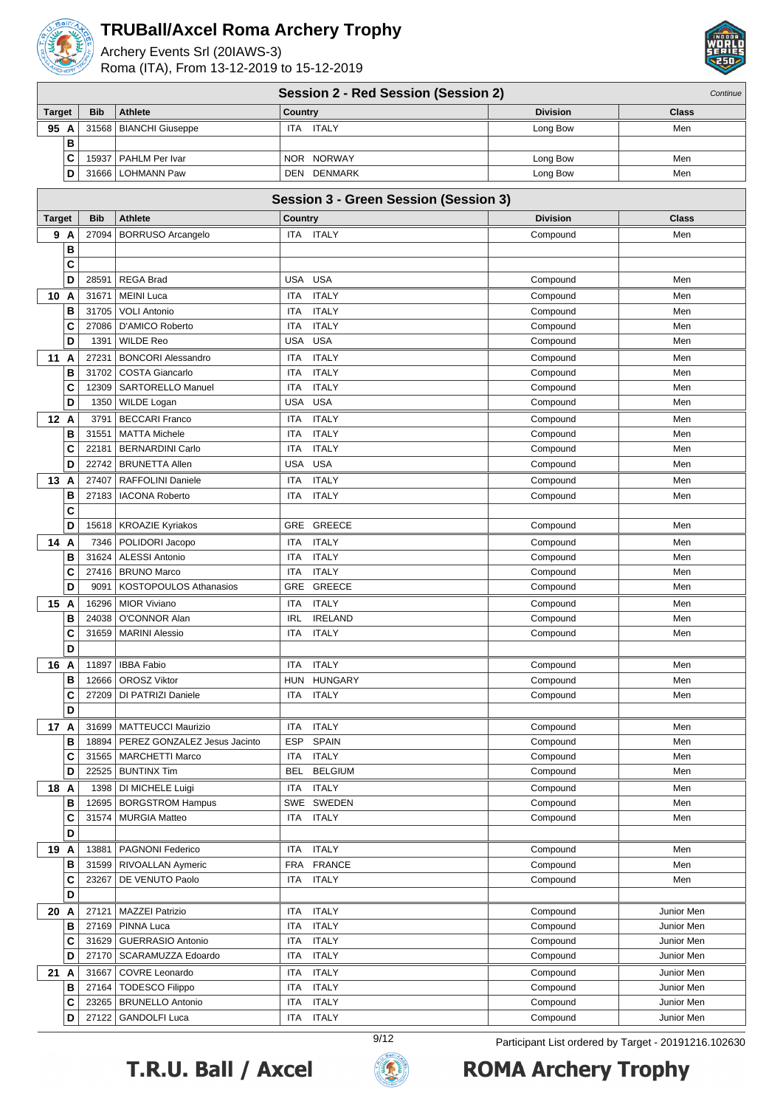

Archery Events Srl (20IAWS-3) Roma (ITA), From 13-12-2019 to 15-12-2019



|               | <b>Session 2 - Red Session (Session 2)</b><br>Continue |                              |                                              |                 |              |  |  |
|---------------|--------------------------------------------------------|------------------------------|----------------------------------------------|-----------------|--------------|--|--|
| <b>Target</b> | <b>Bib</b>                                             | <b>Athlete</b>               | <b>Country</b>                               | <b>Division</b> | Class        |  |  |
| 95 A          |                                                        | 31568   BIANCHI Giuseppe     | ITA ITALY                                    | Long Bow        | Men          |  |  |
| В             |                                                        |                              |                                              |                 |              |  |  |
| C             | 15937                                                  | PAHLM Per Ivar               | <b>NORWAY</b><br><b>NOR</b>                  | Long Bow        | Men          |  |  |
| D             | 31666                                                  | <b>LOHMANN Paw</b>           | DEN DENMARK                                  | Long Bow        | Men          |  |  |
|               |                                                        |                              |                                              |                 |              |  |  |
|               |                                                        |                              | <b>Session 3 - Green Session (Session 3)</b> |                 |              |  |  |
| <b>Target</b> | <b>Bib</b>                                             | <b>Athlete</b>               | Country                                      | <b>Division</b> | <b>Class</b> |  |  |
| 9 A           | 27094                                                  | <b>BORRUSO Arcangelo</b>     | ITA ITALY                                    | Compound        | Men          |  |  |
| в             |                                                        |                              |                                              |                 |              |  |  |
| C             |                                                        |                              |                                              |                 |              |  |  |
| D             | 28591                                                  | <b>REGA Brad</b>             | <b>USA</b><br><b>USA</b>                     | Compound        | Men          |  |  |
| 10 A          | 31671                                                  | <b>MEINI Luca</b>            | <b>ITALY</b><br>ITA                          | Compound        | Men          |  |  |
| в             | 31705                                                  | <b>VOLI Antonio</b>          | <b>ITALY</b><br>ITA                          | Compound        | Men          |  |  |
| C             | 27086                                                  | D'AMICO Roberto              | <b>ITA</b><br><b>ITALY</b>                   | Compound        | Men          |  |  |
| D             | 1391                                                   | <b>WILDE Reo</b>             | <b>USA</b><br><b>USA</b>                     | Compound        | Men          |  |  |
| 11<br>Α       | 27231                                                  | <b>BONCORI Alessandro</b>    | <b>ITALY</b><br>ITA                          | Compound        | Men          |  |  |
| B             | 31702                                                  | <b>COSTA Giancarlo</b>       | <b>ITALY</b><br>ITA                          | Compound        | Men          |  |  |
| C             | 12309                                                  | <b>SARTORELLO Manuel</b>     | <b>ITALY</b><br>ITA                          | Compound        | Men          |  |  |
| D             | 1350                                                   | WILDE Logan                  | <b>USA</b><br>USA                            | Compound        | Men          |  |  |
| 12 A          | 3791                                                   | <b>BECCARI Franco</b>        | <b>ITALY</b><br>ITA                          | Compound        | Men          |  |  |
| в             | 31551                                                  | <b>MATTA Michele</b>         | <b>ITALY</b><br>ITA                          | Compound        | Men          |  |  |
| C             | 22181                                                  | <b>BERNARDINI Carlo</b>      | <b>ITALY</b><br>ITA                          | Compound        | Men          |  |  |
| D             | 22742                                                  | <b>BRUNETTA Allen</b>        | <b>USA</b><br><b>USA</b>                     | Compound        | Men          |  |  |
| 13<br>A       | 27407                                                  | <b>RAFFOLINI Daniele</b>     | <b>ITALY</b><br>ITA                          | Compound        | Men          |  |  |
| B             | 27183                                                  | <b>IACONA Roberto</b>        | <b>ITALY</b><br>ITA                          | Compound        | Men          |  |  |
| C             |                                                        |                              |                                              |                 |              |  |  |
| D             | 15618                                                  | <b>KROAZIE Kyriakos</b>      | <b>GREECE</b><br>GRE                         | Compound        | Men          |  |  |
| 14 A          | 7346                                                   | POLIDORI Jacopo              | <b>ITALY</b><br>ITA                          | Compound        | Men          |  |  |
| в             |                                                        | 31624   ALESSI Antonio       | <b>ITALY</b><br>ITA                          | Compound        | Men          |  |  |
| c             | 27416                                                  | <b>BRUNO Marco</b>           | <b>ITALY</b><br><b>ITA</b>                   | Compound        | Men          |  |  |
| D             | 9091                                                   | KOSTOPOULOS Athanasios       | GRE<br><b>GREECE</b>                         | Compound        | Men          |  |  |
| 15 A          | 16296                                                  | <b>MIOR Viviano</b>          | <b>ITALY</b><br><b>ITA</b>                   | Compound        | Men          |  |  |
| B             | 24038                                                  | O'CONNOR Alan                | <b>IRELAND</b><br><b>IRL</b>                 | Compound        | Men          |  |  |
| C             | 31659                                                  | <b>MARINI Alessio</b>        | <b>ITALY</b><br>ITA                          | Compound        | Men          |  |  |
| D             |                                                        |                              |                                              |                 |              |  |  |
| 16 A          |                                                        | 11897   IBBA Fabio           | ITA ITALY                                    | Compound        | Men          |  |  |
| в             |                                                        | 12666   OROSZ Viktor         | <b>HUNGARY</b><br><b>HUN</b>                 | Compound        | Men          |  |  |
| C<br>D        | 27209                                                  | DI PATRIZI Daniele           | <b>ITALY</b><br><b>ITA</b>                   | Compound        | Men          |  |  |
| 17 A          |                                                        | 31699   MATTEUCCI Maurizio   | <b>ITALY</b><br><b>ITA</b>                   | Compound        | Men          |  |  |
| В             | 18894                                                  | PEREZ GONZALEZ Jesus Jacinto | <b>SPAIN</b><br><b>ESP</b>                   | Compound        | Men          |  |  |
| C             |                                                        | 31565   MARCHETTI Marco      | <b>ITALY</b><br><b>ITA</b>                   | Compound        | Men          |  |  |
| D             |                                                        | 22525   BUNTINX Tim          | <b>BELGIUM</b><br><b>BEL</b>                 | Compound        | Men          |  |  |
| 18 A          |                                                        | 1398   DI MICHELE Luigi      | <b>ITALY</b><br>ITA                          | Compound        | Men          |  |  |
| в             |                                                        | 12695   BORGSTROM Hampus     | SWE SWEDEN                                   | Compound        | Men          |  |  |
| c             | 31574                                                  | <b>MURGIA Matteo</b>         | <b>ITALY</b><br>ITA                          | Compound        | Men          |  |  |
| D             |                                                        |                              |                                              |                 |              |  |  |
| 19 A          | 13881                                                  | PAGNONI Federico             | <b>ITALY</b><br>ITA                          | Compound        | Men          |  |  |
| в             | 31599                                                  | <b>RIVOALLAN Aymeric</b>     | <b>FRANCE</b><br><b>FRA</b>                  | Compound        | Men          |  |  |
| c             | 23267                                                  | DE VENUTO Paolo              | <b>ITALY</b><br><b>ITA</b>                   | Compound        | Men          |  |  |
| D             |                                                        |                              |                                              |                 |              |  |  |
| 20 A          |                                                        | 27121   MAZZEI Patrizio      | <b>ITALY</b><br>ITA                          | Compound        | Junior Men   |  |  |
| в             | 27169                                                  | <b>PINNA Luca</b>            | <b>ITALY</b><br><b>ITA</b>                   | Compound        | Junior Men   |  |  |
| C             | 31629                                                  | <b>GUERRASIO Antonio</b>     | <b>ITALY</b><br><b>ITA</b>                   | Compound        | Junior Men   |  |  |
| D             |                                                        | 27170   SCARAMUZZA Edoardo   | <b>ITALY</b><br><b>ITA</b>                   | Compound        | Junior Men   |  |  |
| 21 A          | 31667                                                  | COVRE Leonardo               | <b>ITALY</b><br>ITA                          | Compound        | Junior Men   |  |  |
| В             |                                                        | 27164   TODESCO Filippo      | <b>ITALY</b><br><b>ITA</b>                   | Compound        | Junior Men   |  |  |
| C             |                                                        | 23265   BRUNELLO Antonio     | <b>ITALY</b><br><b>ITA</b>                   | Compound        | Junior Men   |  |  |
| D             |                                                        | 27122   GANDOLFI Luca        | <b>ITALY</b><br>ITA                          | Compound        | Junior Men   |  |  |





9/12 Participant List ordered by Target - 20191216.102630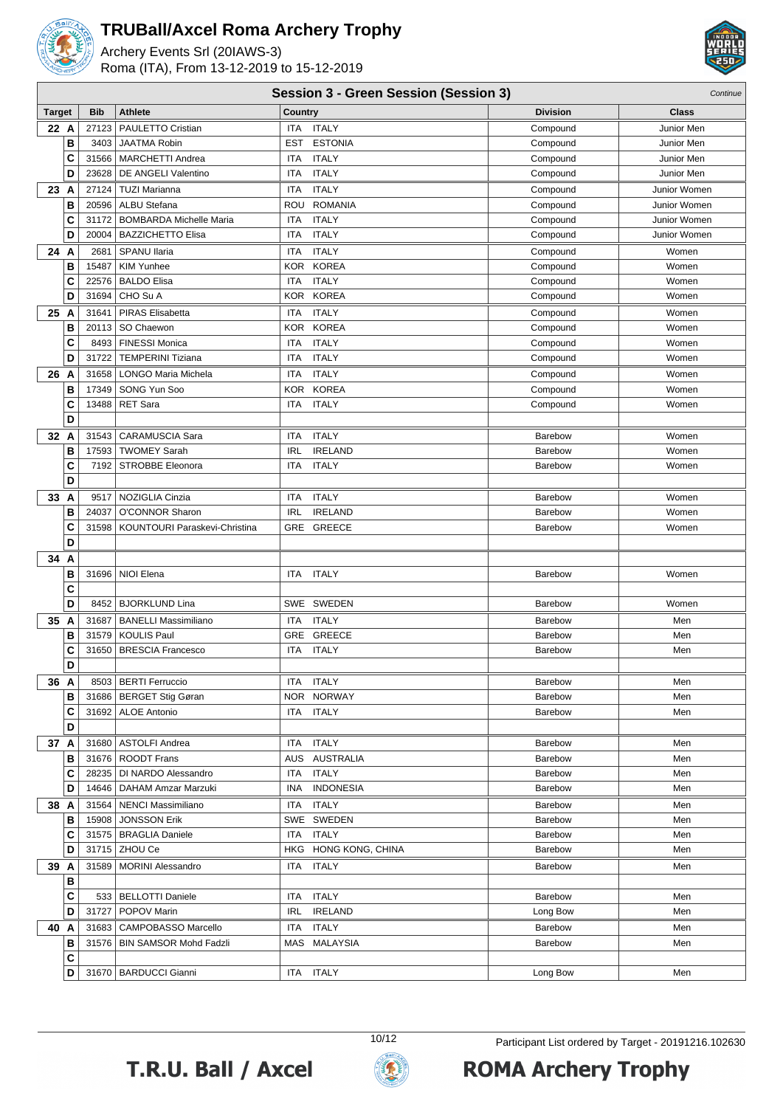

Archery Events Srl (20IAWS-3) Roma (ITA), From 13-12-2019 to 15-12-2019



#### **Session 3 - Green Session (Session 3)** Continue

|               |                |                                                            | $\frac{1}{2}$                                     |                      |                              |
|---------------|----------------|------------------------------------------------------------|---------------------------------------------------|----------------------|------------------------------|
| <b>Target</b> | <b>Bib</b>     | <b>Athlete</b>                                             | Country                                           | <b>Division</b>      | Class                        |
| 22 A          | 27123          | PAULETTO Cristian                                          | <b>ITALY</b><br>ITA                               | Compound             | Junior Men                   |
| B<br>C        | 3403           | <b>JAATMA Robin</b><br><b>MARCHETTI Andrea</b>             | <b>ESTONIA</b><br><b>EST</b><br><b>ITALY</b>      | Compound             | Junior Men                   |
| D             | 31566<br>23628 | DE ANGELI Valentino                                        | ITA<br><b>ITALY</b><br>ITA                        | Compound<br>Compound | Junior Men<br>Junior Men     |
|               |                |                                                            |                                                   |                      |                              |
| 23 A          | 27124          | <b>TUZI Marianna</b>                                       | <b>ITA</b><br><b>ITALY</b>                        | Compound             | Junior Women                 |
| B             | 20596          | <b>ALBU Stefana</b>                                        | <b>ROMANIA</b><br>ROU                             | Compound             | Junior Women                 |
| С<br>D        | 31172<br>20004 | <b>BOMBARDA Michelle Maria</b><br><b>BAZZICHETTO Elisa</b> | <b>ITALY</b><br>ITA<br><b>ITA</b><br><b>ITALY</b> | Compound<br>Compound | Junior Women<br>Junior Women |
|               |                |                                                            |                                                   |                      |                              |
| 24 A          | 2681           | SPANU Ilaria                                               | <b>ITALY</b><br>ITA                               | Compound             | Women                        |
| B             | 15487          | <b>KIM Yunhee</b>                                          | KOR KOREA                                         | Compound             | Women                        |
| C             | 22576          | <b>BALDO Elisa</b>                                         | <b>ITA</b><br><b>ITALY</b>                        | Compound             | Women                        |
| D             | 31694          | CHO Su A                                                   | KOR KOREA                                         | Compound             | Women                        |
| 25 A          | 31641          | <b>PIRAS Elisabetta</b>                                    | <b>ITALY</b><br>ITA                               | Compound             | Women                        |
| B             | 20113          | SO Chaewon                                                 | KOR KOREA                                         | Compound             | Women                        |
| C             | 8493           | <b>FINESSI Monica</b>                                      | <b>ITALY</b><br><b>ITA</b>                        | Compound             | Women                        |
| D             | 31722          | <b>TEMPERINI Tiziana</b>                                   | <b>ITALY</b><br>ITA                               | Compound             | Women                        |
| 26 A          | 31658          | <b>LONGO Maria Michela</b>                                 | <b>ITALY</b><br>ITA                               | Compound             | Women                        |
| B             | 17349          | SONG Yun Soo                                               | KOR KOREA                                         | Compound             | Women                        |
| C             | 13488          | <b>RET Sara</b>                                            | <b>ITA</b><br><b>ITALY</b>                        | Compound             | Women                        |
| D             |                |                                                            |                                                   |                      |                              |
| 32 A          | 31543          | <b>CARAMUSCIA Sara</b>                                     | <b>ITALY</b><br>ITA                               | <b>Barebow</b>       | Women                        |
| B             | 17593          | <b>TWOMEY Sarah</b>                                        | <b>IRL</b><br><b>IRELAND</b>                      | Barebow              | Women                        |
| C             | 7192           | <b>STROBBE Eleonora</b>                                    | <b>ITALY</b><br>ITA                               | Barebow              | Women                        |
| D             |                |                                                            |                                                   |                      |                              |
| 33 A          | 9517           | NOZIGLIA Cinzia                                            | <b>ITALY</b><br>ITA                               | Barebow              | Women                        |
| B             | 24037          | <b>O'CONNOR Sharon</b>                                     | <b>IRL</b><br><b>IRELAND</b>                      | Barebow              | Women                        |
| C             |                | 31598   KOUNTOURI Paraskevi-Christina                      | GRE<br>GREECE                                     | Barebow              | Women                        |
| D             |                |                                                            |                                                   |                      |                              |
| 34 A          |                |                                                            |                                                   |                      |                              |
| в             |                | 31696   NIOI Elena                                         | <b>ITALY</b><br><b>ITA</b>                        | Barebow              | Women                        |
| C<br>D        | 8452           | <b>BJORKLUND Lina</b>                                      | SWE SWEDEN                                        | Barebow              | Women                        |
|               |                |                                                            |                                                   |                      |                              |
| 35 A<br>B     | 31687<br>31579 | <b>BANELLI Massimiliano</b>                                | <b>ITALY</b><br><b>ITA</b>                        | Barebow              | Men                          |
| C             | 31650          | KOULIS Paul<br><b>BRESCIA Francesco</b>                    | GRE GREECE<br><b>ITALY</b><br>ITA                 | Barebow<br>Barebow   | Men<br>Men                   |
| D             |                |                                                            |                                                   |                      |                              |
|               |                | 8503   BERTI Ferruccio                                     | ITA ITALY                                         | Barebow              | Men                          |
| 36 A<br>в     |                | 31686   BERGET Stig Gøran                                  | NOR NORWAY                                        | Barebow              | Men                          |
| С             |                | 31692   ALOE Antonio                                       | ITA ITALY                                         | Barebow              | Men                          |
| D             |                |                                                            |                                                   |                      |                              |
| 37 A          |                | 31680   ASTOLFI Andrea                                     | ITA ITALY                                         | Barebow              | Men                          |
| в             |                | 31676   ROODT Frans                                        | AUS AUSTRALIA                                     | Barebow              | Men                          |
| C             |                | 28235   DI NARDO Alessandro                                | <b>ITA ITALY</b>                                  | Barebow              | Men                          |
| D             |                | 14646   DAHAM Amzar Marzuki                                | INA INDONESIA                                     | Barebow              | Men                          |
| 38 A          |                | 31564   NENCI Massimiliano                                 | ITA ITALY                                         | Barebow              | Men                          |
| в             |                | 15908 JONSSON Erik                                         | SWE SWEDEN                                        | Barebow              | Men                          |
| С             |                | 31575   BRAGLIA Daniele                                    | <b>ITALY</b><br>ITA                               | Barebow              | Men                          |
| D             |                | 31715   ZHOU Ce                                            | HKG HONG KONG, CHINA                              | Barebow              | Men                          |
| 39 A          |                | 31589   MORINI Alessandro                                  | <b>ITALY</b><br>ITA                               | Barebow              | Men                          |
| в             |                |                                                            |                                                   |                      |                              |
| C             |                | 533   BELLOTTI Daniele                                     | <b>ITALY</b><br>ITA                               | Barebow              | Men                          |
| D             |                | 31727   POPOV Marin                                        | IRL IRELAND                                       | Long Bow             | Men                          |
| 40 A          |                | 31683   CAMPOBASSO Marcello                                | <b>ITALY</b><br>ITA                               | Barebow              | Men                          |
| в             |                | 31576   BIN SAMSOR Mohd Fadzli                             | MAS MALAYSIA                                      | Barebow              | Men                          |
| C             |                |                                                            |                                                   |                      |                              |
| D             |                | 31670   BARDUCCI Gianni                                    | ITA ITALY                                         | Long Bow             | Men                          |
|               |                |                                                            |                                                   |                      |                              |



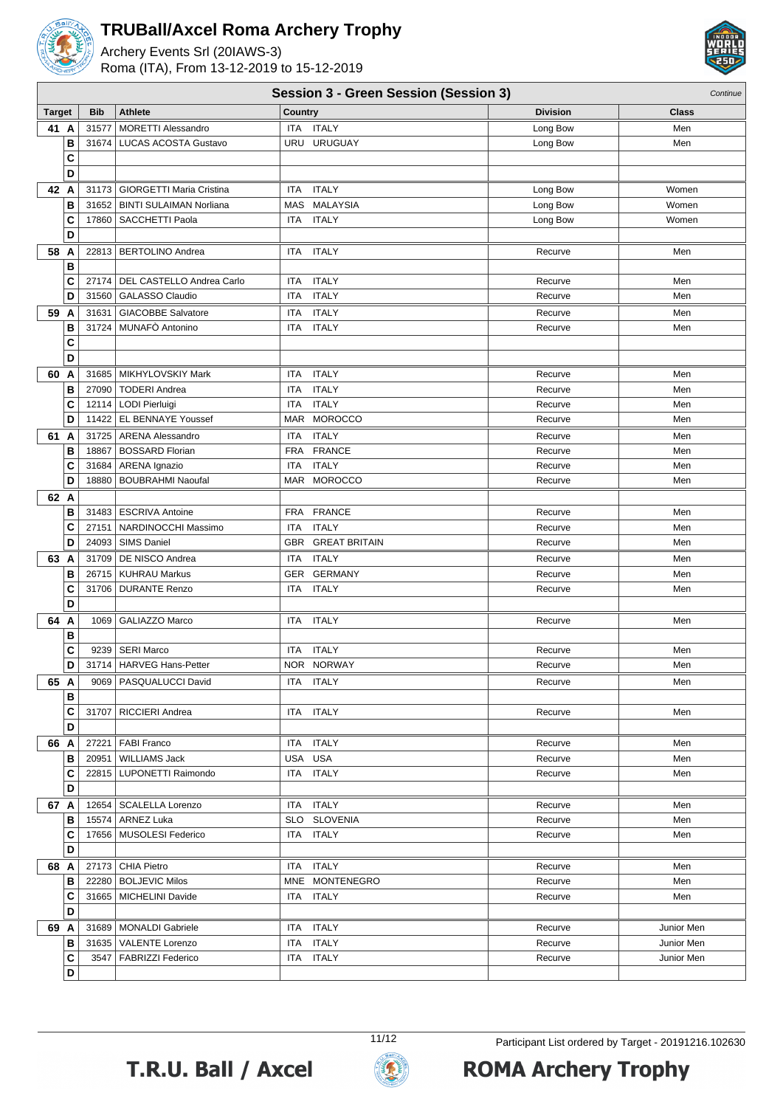

Archery Events Srl (20IAWS-3) Roma (ITA), From 13-12-2019 to 15-12-2019



|               | <b>Session 3 - Green Session (Session 3)</b> |            |                                   |                               |  |                 | Continue   |  |
|---------------|----------------------------------------------|------------|-----------------------------------|-------------------------------|--|-----------------|------------|--|
| <b>Target</b> |                                              | <b>Bib</b> | <b>Athlete</b>                    | Country                       |  | <b>Division</b> | Class      |  |
| 41 A          |                                              | 31577      | <b>MORETTI Alessandro</b>         | <b>ITALY</b><br>ITA           |  | Long Bow        | Men        |  |
|               | В                                            |            | 31674   LUCAS ACOSTA Gustavo      | URU URUGUAY                   |  | Long Bow        | Men        |  |
|               | C                                            |            |                                   |                               |  |                 |            |  |
|               | D                                            |            |                                   |                               |  |                 |            |  |
| 42 A          |                                              |            | 31173   GIORGETTI Maria Cristina  | <b>ITALY</b><br>ITA           |  | Long Bow        | Women      |  |
|               | B                                            |            | 31652   BINTI SULAIMAN Norliana   | <b>MALAYSIA</b><br><b>MAS</b> |  | Long Bow        | Women      |  |
|               | c                                            |            | 17860   SACCHETTI Paola           | ITA ITALY                     |  | Long Bow        | Women      |  |
|               | D                                            |            |                                   |                               |  |                 |            |  |
| 58 A          |                                              |            | 22813   BERTOLINO Andrea          | ITA ITALY                     |  | Recurve         | Men        |  |
|               | B                                            |            |                                   |                               |  |                 |            |  |
|               | C                                            |            | 27174   DEL CASTELLO Andrea Carlo | <b>ITALY</b><br><b>ITA</b>    |  | Recurve         | Men        |  |
|               | D                                            |            | 31560   GALASSO Claudio           | <b>ITALY</b><br><b>ITA</b>    |  | Recurve         | Men        |  |
| 59 A          |                                              | 31631      | GIACOBBE Salvatore                | <b>ITALY</b><br><b>ITA</b>    |  | Recurve         | Men        |  |
|               | В                                            |            | 31724   MUNAFÒ Antonino           | <b>ITALY</b><br>ITA.          |  | Recurve         | Men        |  |
|               | C                                            |            |                                   |                               |  |                 |            |  |
|               | D                                            |            |                                   |                               |  |                 |            |  |
| 60            | A                                            |            | 31685 MIKHYLOVSKIY Mark           | <b>ITALY</b><br><b>ITA</b>    |  | Recurve         | Men        |  |
|               | в                                            |            | 27090   TODERI Andrea             | <b>ITALY</b><br><b>ITA</b>    |  | Recurve         | Men        |  |
|               | C                                            |            | 12114   LODI Pierluigi            | <b>ITALY</b><br><b>ITA</b>    |  | Recurve         | Men        |  |
|               | D                                            |            | 11422 EL BENNAYE Youssef          | MAR<br><b>MOROCCO</b>         |  | Recurve         | Men        |  |
| 61 A          |                                              |            | 31725   ARENA Alessandro          | <b>ITALY</b><br><b>ITA</b>    |  | Recurve         | Men        |  |
|               | в                                            | 18867      | <b>BOSSARD Florian</b>            | <b>FRA</b><br><b>FRANCE</b>   |  | Recurve         | Men        |  |
|               | C                                            |            | 31684   ARENA Ignazio             | <b>ITALY</b><br><b>ITA</b>    |  | Recurve         | Men        |  |
|               | D                                            | 18880      | <b>BOUBRAHMI Naoufal</b>          | MAR MOROCCO                   |  | Recurve         | Men        |  |
| 62 A          |                                              |            |                                   |                               |  |                 |            |  |
|               | в                                            |            | 31483   ESCRIVA Antoine           | <b>FRANCE</b><br><b>FRA</b>   |  | Recurve         | Men        |  |
|               | C                                            | 27151      | NARDINOCCHI Massimo               | <b>ITALY</b><br><b>ITA</b>    |  | Recurve         | Men        |  |
|               | D                                            |            | 24093   SIMS Daniel               | GBR GREAT BRITAIN             |  | Recurve         | Men        |  |
| 63 A          |                                              |            | 31709   DE NISCO Andrea           | ITA ITALY                     |  | Recurve         | Men        |  |
|               | B                                            |            | 26715   KUHRAU Markus             | GER GERMANY                   |  | Recurve         | Men        |  |
|               | C                                            |            | 31706   DURANTE Renzo             | ITA ITALY                     |  | Recurve         | Men        |  |
|               | D                                            |            |                                   |                               |  |                 |            |  |
| 64 A          |                                              | 1069       | GALIAZZO Marco                    | <b>ITALY</b><br>ITA           |  | Recurve         | Men        |  |
|               | в                                            |            |                                   |                               |  |                 |            |  |
|               | c                                            | 9239       | SERI Marco                        | <b>ITALY</b><br>ITA           |  | Recurve         | Men        |  |
|               | D                                            |            | 31714   HARVEG Hans-Petter        | NOR NORWAY                    |  | Recurve         | Men        |  |
| 65 A          |                                              |            | 9069   PASQUALUCCI David          | ITA ITALY                     |  | Recurve         | Men        |  |
|               | в                                            |            |                                   |                               |  |                 |            |  |
|               | C                                            |            | 31707   RICCIERI Andrea           | ITA ITALY                     |  | Recurve         | Men        |  |
|               | D                                            |            |                                   |                               |  |                 |            |  |
| 66 A          |                                              |            | 27221   FABI Franco               | ITA ITALY                     |  | Recurve         | Men        |  |
|               | в                                            | 20951      | <b>WILLIAMS Jack</b>              | USA USA                       |  | Recurve         | Men        |  |
|               | C<br>D                                       |            | 22815   LUPONETTI Raimondo        | ITA ITALY                     |  | Recurve         | Men        |  |
|               |                                              |            |                                   |                               |  |                 |            |  |
| 67 A          |                                              |            | 12654   SCALELLA Lorenzo          | ITA ITALY                     |  | Recurve         | Men        |  |
|               | в                                            |            | 15574   ARNEZ Luka                | SLO SLOVENIA                  |  | Recurve         | Men        |  |
|               | C<br>D                                       |            | 17656   MUSOLESI Federico         | ITA ITALY                     |  | Recurve         | Men        |  |
|               |                                              |            |                                   |                               |  |                 |            |  |
| 68 A          |                                              |            | 27173 CHIA Pietro                 | ITA ITALY                     |  | Recurve         | Men        |  |
|               | в                                            |            | 22280   BOLJEVIC Milos            | MNE MONTENEGRO                |  | Recurve         | Men        |  |
|               | C<br>D                                       |            | 31665   MICHELINI Davide          | ITA ITALY                     |  | Recurve         | Men        |  |
|               |                                              |            |                                   |                               |  |                 |            |  |
| 69 A          |                                              |            | 31689   MONALDI Gabriele          | ITA ITALY                     |  | Recurve         | Junior Men |  |
|               | в                                            |            | 31635   VALENTE Lorenzo           | ITA ITALY                     |  | Recurve         | Junior Men |  |
|               | C                                            |            | 3547   FABRIZZI Federico          | ITA ITALY                     |  | Recurve         | Junior Men |  |
|               | D                                            |            |                                   |                               |  |                 |            |  |